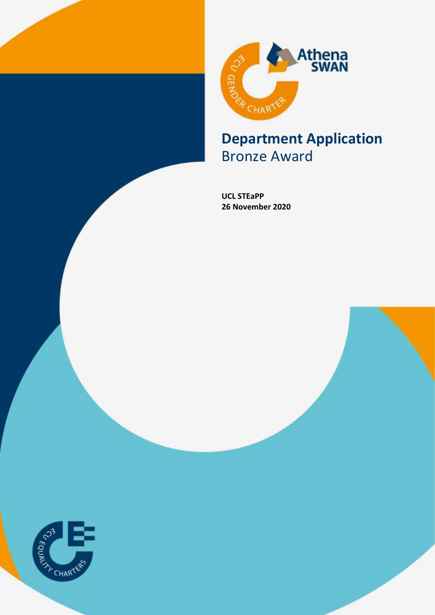



# Bronze Award

**UCL STEaPP 26 November 2020**

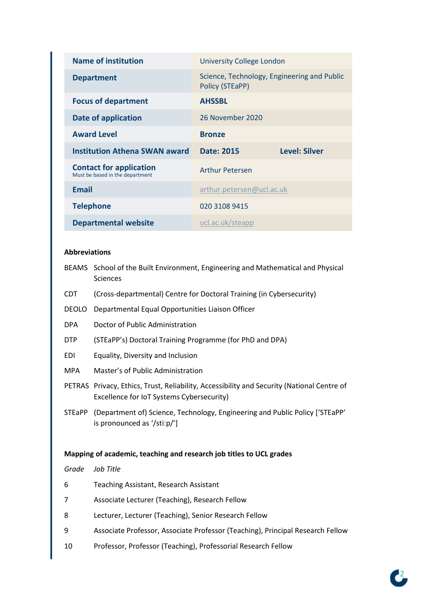| <b>Name of institution</b>                                        | <b>University College London</b>                               |  |  |  |  |
|-------------------------------------------------------------------|----------------------------------------------------------------|--|--|--|--|
| <b>Department</b>                                                 | Science, Technology, Engineering and Public<br>Policy (STEaPP) |  |  |  |  |
| <b>Focus of department</b>                                        | <b>AHSSBL</b>                                                  |  |  |  |  |
| <b>Date of application</b>                                        | 26 November 2020                                               |  |  |  |  |
| <b>Award Level</b>                                                | <b>Bronze</b>                                                  |  |  |  |  |
| <b>Institution Athena SWAN award</b>                              | <b>Level: Silver</b><br>Date: 2015                             |  |  |  |  |
|                                                                   |                                                                |  |  |  |  |
| <b>Contact for application</b><br>Must be based in the department | <b>Arthur Petersen</b>                                         |  |  |  |  |
| <b>Email</b>                                                      | arthur.petersen@ucl.ac.uk                                      |  |  |  |  |
| <b>Telephone</b>                                                  | 020 3108 9415                                                  |  |  |  |  |

#### **Abbreviations**

- BEAMS School of the Built Environment, Engineering and Mathematical and Physical Sciences
- CDT (Cross-departmental) Centre for Doctoral Training (in Cybersecurity)
- DEOLO Departmental Equal Opportunities Liaison Officer
- DPA Doctor of Public Administration
- DTP (STEaPP's) Doctoral Training Programme (for PhD and DPA)
- EDI Equality, Diversity and Inclusion
- MPA Master's of Public Administration
- PETRAS Privacy, Ethics, Trust, Reliability, Accessibility and Security (National Centre of Excellence for IoT Systems Cybersecurity)
- STEaPP (Department of) Science, Technology, Engineering and Public Policy ['STEaPP' is pronounced as '/stiːp/']

#### **Mapping of academic, teaching and research job titles to UCL grades**

*Grade Job Title*

- 6 Teaching Assistant, Research Assistant
- 7 Associate Lecturer (Teaching), Research Fellow
- 8 Lecturer, Lecturer (Teaching), Senior Research Fellow
- 9 Associate Professor, Associate Professor (Teaching), Principal Research Fellow
- 10 Professor, Professor (Teaching), Professorial Research Fellow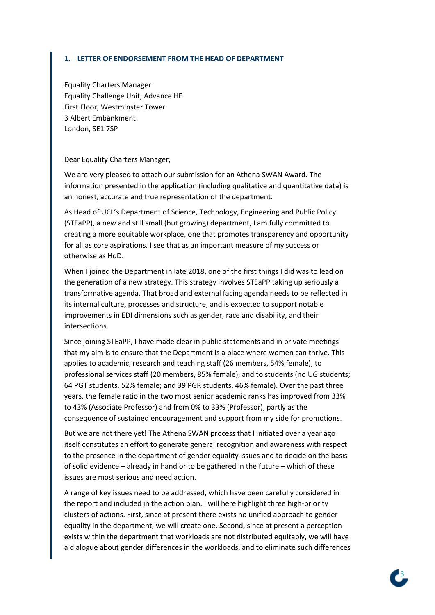#### **1. LETTER OF ENDORSEMENT FROM THE HEAD OF DEPARTMENT**

Equality Charters Manager Equality Challenge Unit, Advance HE First Floor, Westminster Tower 3 Albert Embankment London, SE1 7SP

Dear Equality Charters Manager,

We are very pleased to attach our submission for an Athena SWAN Award. The information presented in the application (including qualitative and quantitative data) is an honest, accurate and true representation of the department.

As Head of UCL's Department of Science, Technology, Engineering and Public Policy (STEaPP), a new and still small (but growing) department, I am fully committed to creating a more equitable workplace, one that promotes transparency and opportunity for all as core aspirations. I see that as an important measure of my success or otherwise as HoD.

When I joined the Department in late 2018, one of the first things I did was to lead on the generation of a new strategy. This strategy involves STEaPP taking up seriously a transformative agenda. That broad and external facing agenda needs to be reflected in its internal culture, processes and structure, and is expected to support notable improvements in EDI dimensions such as gender, race and disability, and their intersections.

Since joining STEaPP, I have made clear in public statements and in private meetings that my aim is to ensure that the Department is a place where women can thrive. This applies to academic, research and teaching staff (26 members, 54% female), to professional services staff (20 members, 85% female), and to students (no UG students; 64 PGT students, 52% female; and 39 PGR students, 46% female). Over the past three years, the female ratio in the two most senior academic ranks has improved from 33% to 43% (Associate Professor) and from 0% to 33% (Professor), partly as the consequence of sustained encouragement and support from my side for promotions.

But we are not there yet! The Athena SWAN process that I initiated over a year ago itself constitutes an effort to generate general recognition and awareness with respect to the presence in the department of gender equality issues and to decide on the basis of solid evidence – already in hand or to be gathered in the future – which of these issues are most serious and need action.

A range of key issues need to be addressed, which have been carefully considered in the report and included in the action plan. I will here highlight three high-priority clusters of actions. First, since at present there exists no unified approach to gender equality in the department, we will create one. Second, since at present a perception exists within the department that workloads are not distributed equitably, we will have a dialogue about gender differences in the workloads, and to eliminate such differences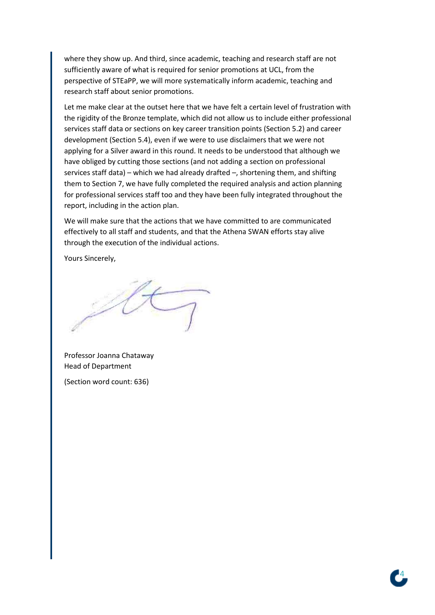where they show up. And third, since academic, teaching and research staff are not sufficiently aware of what is required for senior promotions at UCL, from the perspective of STEaPP, we will more systematically inform academic, teaching and research staff about senior promotions.

Let me make clear at the outset here that we have felt a certain level of frustration with the rigidity of the Bronze template, which did not allow us to include either professional services staff data or sections on key career transition points (Section 5.2) and career development (Section 5.4), even if we were to use disclaimers that we were not applying for a Silver award in this round. It needs to be understood that although we have obliged by cutting those sections (and not adding a section on professional services staff data) – which we had already drafted –, shortening them, and shifting them to Section 7, we have fully completed the required analysis and action planning for professional services staff too and they have been fully integrated throughout the report, including in the action plan.

We will make sure that the actions that we have committed to are communicated effectively to all staff and students, and that the Athena SWAN efforts stay alive through the execution of the individual actions.

Yours Sincerely,

Professor Joanna Chataway Head of Department

(Section word count: 636)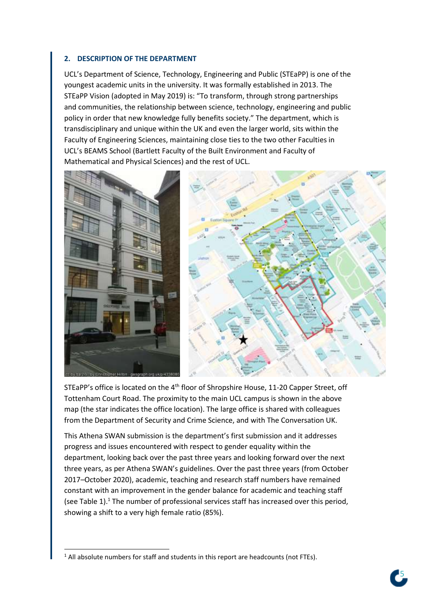#### **2. DESCRIPTION OF THE DEPARTMENT**

UCL's Department of Science, Technology, Engineering and Public (STEaPP) is one of the youngest academic units in the university. It was formally established in 2013. The STEaPP Vision (adopted in May 2019) is: "To transform, through strong partnerships and communities, the relationship between science, technology, engineering and public policy in order that new knowledge fully benefits society." The department, which is transdisciplinary and unique within the UK and even the larger world, sits within the Faculty of Engineering Sciences, maintaining close ties to the two other Faculties in UCL's BEAMS School (Bartlett Faculty of the Built Environment and Faculty of Mathematical and Physical Sciences) and the rest of UCL.





STEaPP's office is located on the 4<sup>th</sup> floor of Shropshire House, 11-20 Capper Street, off Tottenham Court Road. The proximity to the main UCL campus is shown in the above map (the star indicates the office location). The large office is shared with colleagues from the Department of Security and Crime Science, and with The Conversation UK.

This Athena SWAN submission is the department's first submission and it addresses progress and issues encountered with respect to gender equality within the department, looking back over the past three years and looking forward over the next three years, as per Athena SWAN's guidelines. Over the past three years (from October 2017–October 2020), academic, teaching and research staff numbers have remained constant with an improvement in the gender balance for academic and teaching staff (see Table 1).<sup>1</sup> The number of professional services staff has increased over this period, showing a shift to a very high female ratio (85%).

<sup>&</sup>lt;sup>1</sup> All absolute numbers for staff and students in this report are headcounts (not FTEs).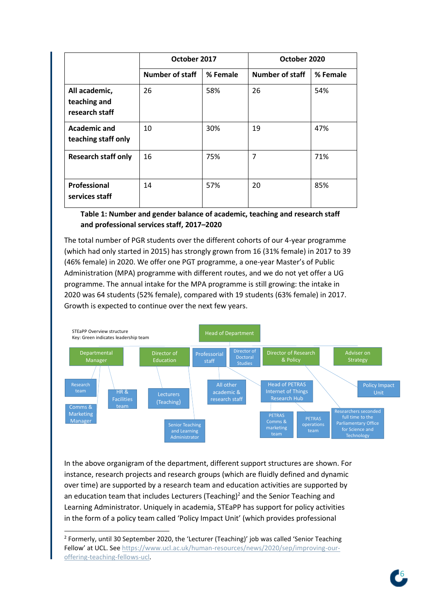|                                                 | October 2017           |          | October 2020           |          |
|-------------------------------------------------|------------------------|----------|------------------------|----------|
|                                                 | <b>Number of staff</b> | % Female | <b>Number of staff</b> | % Female |
| All academic,<br>teaching and<br>research staff | 26                     | 58%      | 26                     | 54%      |
| <b>Academic and</b><br>teaching staff only      | 10                     | 30%      | 19                     | 47%      |
| <b>Research staff only</b>                      | 16                     | 75%      | 7                      | 71%      |
| Professional<br>services staff                  | 14                     | 57%      | 20                     | 85%      |

**Table 1: Number and gender balance of academic, teaching and research staff and professional services staff, 2017–2020**

The total number of PGR students over the different cohorts of our 4-year programme (which had only started in 2015) has strongly grown from 16 (31% female) in 2017 to 39 (46% female) in 2020. We offer one PGT programme, a one-year Master's of Public Administration (MPA) programme with different routes, and we do not yet offer a UG programme. The annual intake for the MPA programme is still growing: the intake in 2020 was 64 students (52% female), compared with 19 students (63% female) in 2017. Growth is expected to continue over the next few years.



In the above organigram of the department, different support structures are shown. For instance, research projects and research groups (which are fluidly defined and dynamic over time) are supported by a research team and education activities are supported by an education team that includes Lecturers (Teaching)<sup>2</sup> and the Senior Teaching and Learning Administrator. Uniquely in academia, STEaPP has support for policy activities in the form of a policy team called 'Policy Impact Unit' (which provides professional



<sup>&</sup>lt;sup>2</sup> Formerly, until 30 September 2020, the 'Lecturer (Teaching)' job was called 'Senior Teaching Fellow' at UCL. See [https://www.ucl.ac.uk/human-resources/news/2020/sep/improving-our](https://www.ucl.ac.uk/human-resources/news/2020/sep/improving-our-offering-teaching-fellows-ucl)[offering-teaching-fellows-ucl.](https://www.ucl.ac.uk/human-resources/news/2020/sep/improving-our-offering-teaching-fellows-ucl)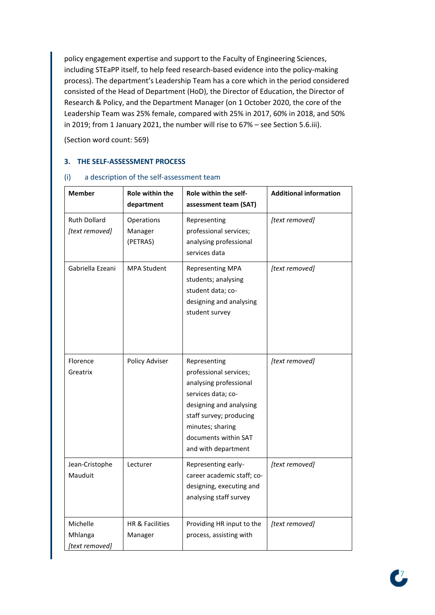policy engagement expertise and support to the Faculty of Engineering Sciences, including STEaPP itself, to help feed research-based evidence into the policy-making process). The department's Leadership Team has a core which in the period considered consisted of the Head of Department (HoD), the Director of Education, the Director of Research & Policy, and the Department Manager (on 1 October 2020, the core of the Leadership Team was 25% female, compared with 25% in 2017, 60% in 2018, and 50% in 2019; from 1 January 2021, the number will rise to 67% – see Section 5.6.iii).

(Section word count: 569)

## **3. THE SELF-ASSESSMENT PROCESS**

| <b>Member</b>                         | Role within the<br>department                                                                                                          | Role within the self-<br>assessment team (SAT)                                                                                                                                                                  | <b>Additional information</b> |
|---------------------------------------|----------------------------------------------------------------------------------------------------------------------------------------|-----------------------------------------------------------------------------------------------------------------------------------------------------------------------------------------------------------------|-------------------------------|
| <b>Ruth Dollard</b><br>[text removed] | Operations<br>Manager<br>(PETRAS)                                                                                                      | Representing<br>professional services;<br>analysing professional<br>services data                                                                                                                               | [text removed]                |
| Gabriella Ezeani                      | <b>MPA Student</b><br><b>Representing MPA</b><br>students; analysing<br>student data; co-<br>designing and analysing<br>student survey |                                                                                                                                                                                                                 | [text removed]                |
| Florence<br>Greatrix                  | Policy Adviser                                                                                                                         | Representing<br>professional services;<br>analysing professional<br>services data; co-<br>designing and analysing<br>staff survey; producing<br>minutes; sharing<br>documents within SAT<br>and with department | [text removed]                |
| Jean-Cristophe<br>Mauduit             | Lecturer                                                                                                                               | Representing early-<br>career academic staff; co-<br>designing, executing and<br>analysing staff survey                                                                                                         | [text removed]                |
| Michelle<br>Mhlanga<br>[text removed] | HR & Facilities<br>Manager                                                                                                             | Providing HR input to the<br>process, assisting with                                                                                                                                                            | [text removed]                |

#### (i) a description of the self-assessment team

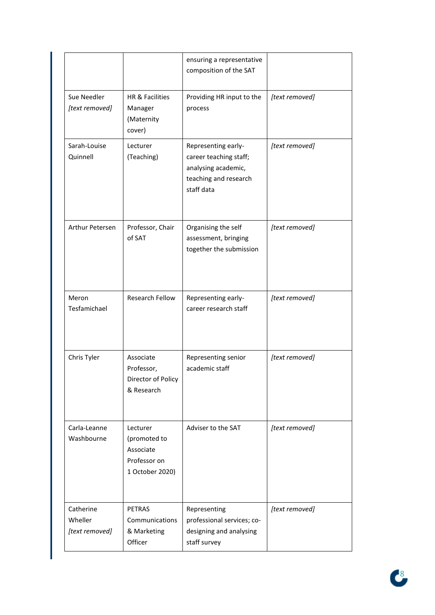|                                        |                                                                          | ensuring a representative<br>composition of the SAT                                                         |                |
|----------------------------------------|--------------------------------------------------------------------------|-------------------------------------------------------------------------------------------------------------|----------------|
| Sue Needler<br>[text removed]          | HR & Facilities<br>Manager<br>(Maternity<br>cover)                       | Providing HR input to the<br>process                                                                        | [text removed] |
| Sarah-Louise<br>Quinnell               | Lecturer<br>(Teaching)                                                   | Representing early-<br>career teaching staff;<br>analysing academic,<br>teaching and research<br>staff data | [text removed] |
| Arthur Petersen                        | Professor, Chair<br>of SAT                                               | Organising the self<br>assessment, bringing<br>together the submission                                      | [text removed] |
| Meron<br>Tesfamichael                  | Research Fellow                                                          | Representing early-<br>career research staff                                                                | [text removed] |
| Chris Tyler                            | Associate<br>Professor,<br>Director of Policy<br>& Research              | Representing senior<br>academic staff                                                                       | [text removed] |
| Carla-Leanne<br>Washbourne             | Lecturer<br>(promoted to<br>Associate<br>Professor on<br>1 October 2020) | Adviser to the SAT                                                                                          | [text removed] |
| Catherine<br>Wheller<br>[text removed] | <b>PETRAS</b><br>Communications<br>& Marketing<br>Officer                | Representing<br>professional services; co-<br>designing and analysing<br>staff survey                       | [text removed] |

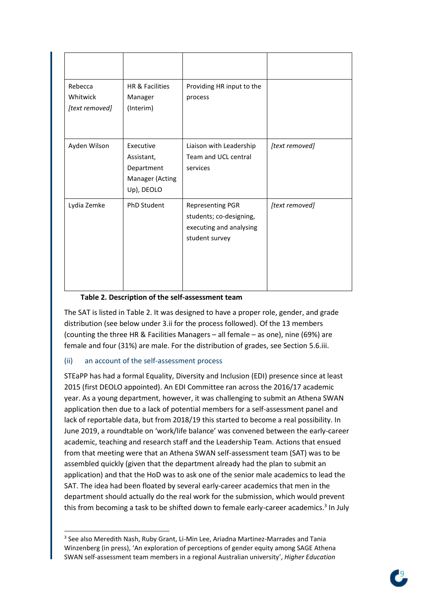| Rebecca<br>Whitwick<br>[text removed] | HR & Facilities<br>Manager<br>(Interim)                                | Providing HR input to the<br>process                                                            |                |
|---------------------------------------|------------------------------------------------------------------------|-------------------------------------------------------------------------------------------------|----------------|
| Ayden Wilson                          | Executive<br>Assistant,<br>Department<br>Manager (Acting<br>Up), DEOLO | Liaison with Leadership<br>Team and UCL central<br>services                                     | [text removed] |
| Lydia Zemke                           | <b>PhD Student</b>                                                     | <b>Representing PGR</b><br>students; co-designing,<br>executing and analysing<br>student survey | [text removed] |

## **Table 2. Description of the self-assessment team**

The SAT is listed in Table 2. It was designed to have a proper role, gender, and grade distribution (see below under 3.ii for the process followed). Of the 13 members (counting the three HR & Facilities Managers – all female – as one), nine (69%) are female and four (31%) are male. For the distribution of grades, see Section 5.6.iii.

## (ii) an account of the self-assessment process

STEaPP has had a formal Equality, Diversity and Inclusion (EDI) presence since at least 2015 (first DEOLO appointed). An EDI Committee ran across the 2016/17 academic year. As a young department, however, it was challenging to submit an Athena SWAN application then due to a lack of potential members for a self-assessment panel and lack of reportable data, but from 2018/19 this started to become a real possibility. In June 2019, a roundtable on 'work/life balance' was convened between the early-career academic, teaching and research staff and the Leadership Team. Actions that ensued from that meeting were that an Athena SWAN self-assessment team (SAT) was to be assembled quickly (given that the department already had the plan to submit an application) and that the HoD was to ask one of the senior male academics to lead the SAT. The idea had been floated by several early-career academics that men in the department should actually do the real work for the submission, which would prevent this from becoming a task to be shifted down to female early-career academics.<sup>3</sup> In July



<sup>&</sup>lt;sup>3</sup> See also Meredith Nash, Ruby Grant, Li-Min Lee, Ariadna Martinez-Marrades and Tania Winzenberg (in press), 'An exploration of perceptions of gender equity among SAGE Athena SWAN self-assessment team members in a regional Australian university', *Higher Education*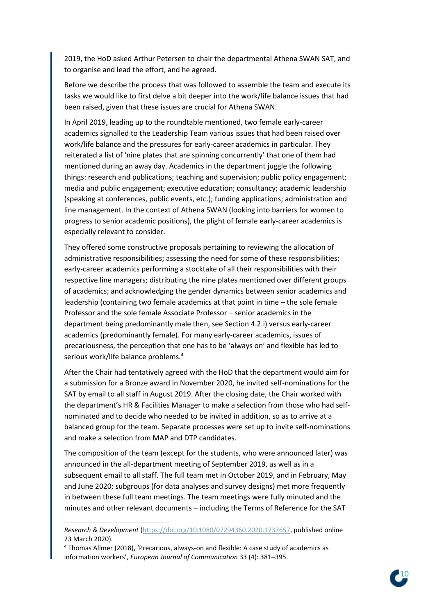2019, the HoD asked Arthur Petersen to chair the departmental Athena SWAN SAT, and to organise and lead the effort, and he agreed.

Before we describe the process that was followed to assemble the team and execute its tasks we would like to first delve a bit deeper into the work/life balance issues that had been raised, given that these issues are crucial for Athena SWAN.

In April 2019, leading up to the roundtable mentioned, two female early-career academics signalled to the Leadership Team various issues that had been raised over work/life balance and the pressures for early-career academics in particular. They reiterated a list of 'nine plates that are spinning concurrently' that one of them had mentioned during an away day. Academics in the department juggle the following things: research and publications; teaching and supervision; public policy engagement; media and public engagement; executive education; consultancy; academic leadership (speaking at conferences, public events, etc.); funding applications; administration and line management. In the context of Athena SWAN (looking into barriers for women to progress to senior academic positions), the plight of female early-career academics is especially relevant to consider.

They offered some constructive proposals pertaining to reviewing the allocation of administrative responsibilities; assessing the need for some of these responsibilities; early-career academics performing a stocktake of all their responsibilities with their respective line managers; distributing the nine plates mentioned over different groups of academics; and acknowledging the gender dynamics between senior academics and leadership (containing two female academics at that point in time – the sole female Professor and the sole female Associate Professor – senior academics in the department being predominantly male then, see Section 4.2.i) versus early-career academics (predominantly female). For many early-career academics, issues of precariousness, the perception that one has to be 'always on' and flexible has led to serious work/life balance problems.<sup>4</sup>

After the Chair had tentatively agreed with the HoD that the department would aim for a submission for a Bronze award in November 2020, he invited self-nominations for the SAT by email to all staff in August 2019. After the closing date, the Chair worked with the department's HR & Facilities Manager to make a selection from those who had selfnominated and to decide who needed to be invited in addition, so as to arrive at a balanced group for the team. Separate processes were set up to invite self-nominations and make a selection from MAP and DTP candidates.

The composition of the team (except for the students, who were announced later) was announced in the all-department meeting of September 2019, as well as in a subsequent email to all staff. The full team met in October 2019, and in February, May and June 2020; subgroups (for data analyses and survey designs) met more frequently in between these full team meetings. The team meetings were fully minuted and the minutes and other relevant documents – including the Terms of Reference for the SAT



*Research & Development* [\(https://doi.org/10.1080/07294360.2020.1737657,](https://doi.org/10.1080/07294360.2020.1737657) published online 23 March 2020).

<sup>4</sup> Thomas Allmer (2018), 'Precarious, always-on and flexible: A case study of academics as information workers', *European Journal of Communication* 33 (4): 381–395.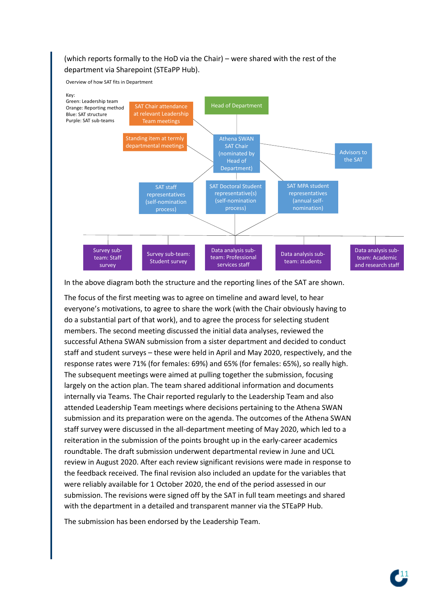# (which reports formally to the HoD via the Chair) – were shared with the rest of the department via Sharepoint (STEaPP Hub).

Overview of how SAT fits in Department



In the above diagram both the structure and the reporting lines of the SAT are shown.

The focus of the first meeting was to agree on timeline and award level, to hear everyone's motivations, to agree to share the work (with the Chair obviously having to do a substantial part of that work), and to agree the process for selecting student members. The second meeting discussed the initial data analyses, reviewed the successful Athena SWAN submission from a sister department and decided to conduct staff and student surveys – these were held in April and May 2020, respectively, and the response rates were 71% (for females: 69%) and 65% (for females: 65%), so really high. The subsequent meetings were aimed at pulling together the submission, focusing largely on the action plan. The team shared additional information and documents internally via Teams. The Chair reported regularly to the Leadership Team and also attended Leadership Team meetings where decisions pertaining to the Athena SWAN submission and its preparation were on the agenda. The outcomes of the Athena SWAN staff survey were discussed in the all-department meeting of May 2020, which led to a reiteration in the submission of the points brought up in the early-career academics roundtable. The draft submission underwent departmental review in June and UCL review in August 2020. After each review significant revisions were made in response to the feedback received. The final revision also included an update for the variables that were reliably available for 1 October 2020, the end of the period assessed in our submission. The revisions were signed off by the SAT in full team meetings and shared with the department in a detailed and transparent manner via the STEaPP Hub.

The submission has been endorsed by the Leadership Team.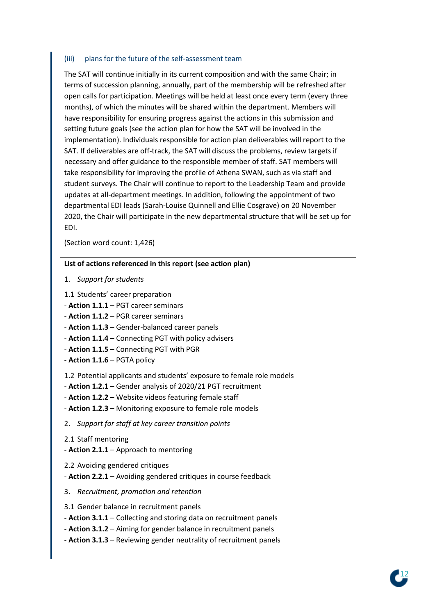#### (iii) plans for the future of the self-assessment team

The SAT will continue initially in its current composition and with the same Chair; in terms of succession planning, annually, part of the membership will be refreshed after open calls for participation. Meetings will be held at least once every term (every three months), of which the minutes will be shared within the department. Members will have responsibility for ensuring progress against the actions in this submission and setting future goals (see the action plan for how the SAT will be involved in the implementation). Individuals responsible for action plan deliverables will report to the SAT. If deliverables are off-track, the SAT will discuss the problems, review targets if necessary and offer guidance to the responsible member of staff. SAT members will take responsibility for improving the profile of Athena SWAN, such as via staff and student surveys. The Chair will continue to report to the Leadership Team and provide updates at all-department meetings. In addition, following the appointment of two departmental EDI leads (Sarah-Louise Quinnell and Ellie Cosgrave) on 20 November 2020, the Chair will participate in the new departmental structure that will be set up for EDI.

(Section word count: 1,426)

#### **List of actions referenced in this report (see action plan)**

- 1. *Support for students*
- 1.1 Students' career preparation
- **Action 1.1.1** PGT career seminars
- **Action 1.1.2** PGR career seminars
- **Action 1.1.3** Gender-balanced career panels
- **Action 1.1.4** Connecting PGT with policy advisers
- **Action 1.1.5** Connecting PGT with PGR
- **Action 1.1.6** PGTA policy

1.2 Potential applicants and students' exposure to female role models

- **Action 1.2.1** Gender analysis of 2020/21 PGT recruitment
- **Action 1.2.2** Website videos featuring female staff
- **Action 1.2.3** Monitoring exposure to female role models
- 2. *Support for staff at key career transition points*
- 2.1 Staff mentoring
- **Action 2.1.1** Approach to mentoring
- 2.2 Avoiding gendered critiques
- **Action 2.2.1** Avoiding gendered critiques in course feedback
- 3. *Recruitment, promotion and retention*
- 3.1 Gender balance in recruitment panels
- **Action 3.1.1** Collecting and storing data on recruitment panels
- **Action 3.1.2** Aiming for gender balance in recruitment panels
- **Action 3.1.3** Reviewing gender neutrality of recruitment panels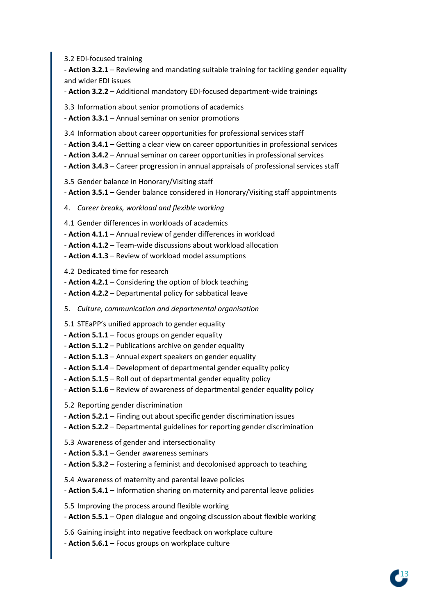3.2 EDI-focused training

- **Action 3.2.1** – Reviewing and mandating suitable training for tackling gender equality and wider EDI issues

- **Action 3.2.2** – Additional mandatory EDI-focused department-wide trainings

3.3 Information about senior promotions of academics

- **Action 3.3.1** – Annual seminar on senior promotions

3.4 Information about career opportunities for professional services staff

- **Action 3.4.1** – Getting a clear view on career opportunities in professional services

- **Action 3.4.2** Annual seminar on career opportunities in professional services
- **Action 3.4.3** Career progression in annual appraisals of professional services staff
- 3.5 Gender balance in Honorary/Visiting staff
- **Action 3.5.1** Gender balance considered in Honorary/Visiting staff appointments
- 4. *Career breaks, workload and flexible working*

4.1 Gender differences in workloads of academics

- **Action 4.1.1** Annual review of gender differences in workload
- **Action 4.1.2** Team-wide discussions about workload allocation
- **Action 4.1.3** Review of workload model assumptions

4.2 Dedicated time for research

- **Action 4.2.1** – Considering the option of block teaching

- **Action 4.2.2** – Departmental policy for sabbatical leave

5. *Culture, communication and departmental organisation*

5.1 STEaPP's unified approach to gender equality

- **Action 5.1.1** – Focus groups on gender equality

- **Action 5.1.2** – Publications archive on gender equality

- **Action 5.1.3** Annual expert speakers on gender equality
- **Action 5.1.4** Development of departmental gender equality policy
- **Action 5.1.5** Roll out of departmental gender equality policy
- **Action 5.1.6** Review of awareness of departmental gender equality policy

5.2 Reporting gender discrimination

- **Action 5.2.1** Finding out about specific gender discrimination issues
- **Action 5.2.2** Departmental guidelines for reporting gender discrimination

5.3 Awareness of gender and intersectionality

- **Action 5.3.1** – Gender awareness seminars

- **Action 5.3.2** – Fostering a feminist and decolonised approach to teaching

5.4 Awareness of maternity and parental leave policies

- **Action 5.4.1** Information sharing on maternity and parental leave policies
- 5.5 Improving the process around flexible working
- **Action 5.5.1** Open dialogue and ongoing discussion about flexible working
- 5.6 Gaining insight into negative feedback on workplace culture
- **Action 5.6.1** Focus groups on workplace culture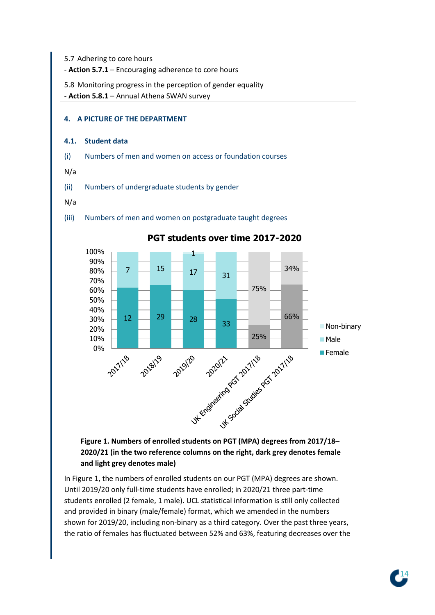5.7 Adhering to core hours

- **Action 5.7.1** – Encouraging adherence to core hours

5.8 Monitoring progress in the perception of gender equality - **Action 5.8.1** – Annual Athena SWAN survey

**4. A PICTURE OF THE DEPARTMENT**

# **4.1. Student data**

(i) Numbers of men and women on access or foundation courses

(iii) Numbers of men and women on postgraduate taught degrees

N/a

(ii) Numbers of undergraduate students by gender

#### N/a

100% 1 90% 34% 7  $^{15}$   $-$  17  $-$  <sub>31</sub> 80% 70% 75% 60% 50% 40% 66%  $12 - \frac{29}{28} - \frac{28}{33}$ 30% **Non-binary** 20% 25% 10% ■ Male 0% LIVS UK Engineering Package Strategy of 2nd 1/28 **Female** 2019/20 2018/19

# **PGT students over time 2017-2020**

**Figure 1. Numbers of enrolled students on PGT (MPA) degrees from 2017/18– 2020/21 (in the two reference columns on the right, dark grey denotes female and light grey denotes male)**

In Figure 1, the numbers of enrolled students on our PGT (MPA) degrees are shown. Until 2019/20 only full-time students have enrolled; in 2020/21 three part-time students enrolled (2 female, 1 male). UCL statistical information is still only collected and provided in binary (male/female) format, which we amended in the numbers shown for 2019/20, including non-binary as a third category. Over the past three years, the ratio of females has fluctuated between 52% and 63%, featuring decreases over the

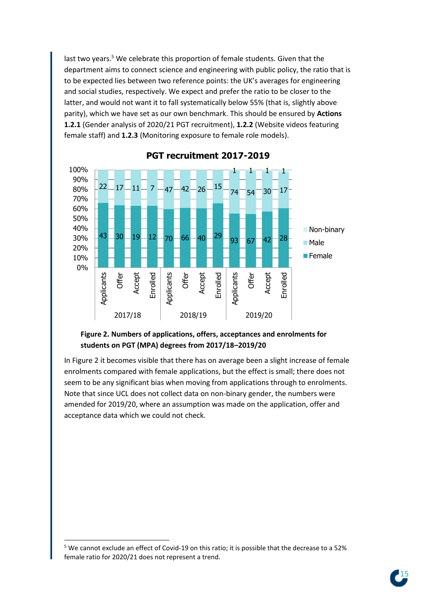last two years. <sup>5</sup> We celebrate this proportion of female students. Given that the department aims to connect science and engineering with public policy, the ratio that is to be expected lies between two reference points: the UK's averages for engineering and social studies, respectively. We expect and prefer the ratio to be closer to the latter, and would not want it to fall systematically below 55% (that is, slightly above parity), which we have set as our own benchmark. This should be ensured by **Actions 1.2.1** (Gender analysis of 2020/21 PGT recruitment), **1.2.2** (Website videos featuring female staff) and **1.2.3** (Monitoring exposure to female role models).



**PGT recruitment 2017-2019**

## **Figure 2. Numbers of applications, offers, acceptances and enrolments for students on PGT (MPA) degrees from 2017/18–2019/20**

In Figure 2 it becomes visible that there has on average been a slight increase of female enrolments compared with female applications, but the effect is small; there does not seem to be any significant bias when moving from applications through to enrolments. Note that since UCL does not collect data on non-binary gender, the numbers were amended for 2019/20, where an assumption was made on the application, offer and acceptance data which we could not check.



<sup>5</sup> We cannot exclude an effect of Covid-19 on this ratio; it is possible that the decrease to a 52% female ratio for 2020/21 does not represent a trend.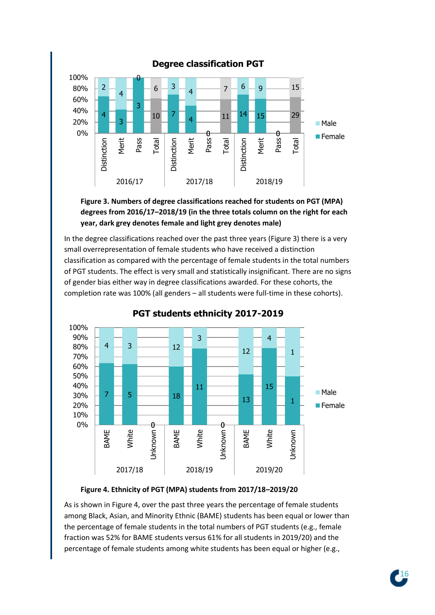



In the degree classifications reached over the past three years (Figure 3) there is a very small overrepresentation of female students who have received a distinction classification as compared with the percentage of female students in the total numbers of PGT students. The effect is very small and statistically insignificant. There are no signs of gender bias either way in degree classifications awarded. For these cohorts, the completion rate was 100% (all genders – all students were full-time in these cohorts).



**PGT students ethnicity 2017-2019** 

# **Figure 4. Ethnicity of PGT (MPA) students from 2017/18–2019/20**

As is shown in Figure 4, over the past three years the percentage of female students among Black, Asian, and Minority Ethnic (BAME) students has been equal or lower than the percentage of female students in the total numbers of PGT students (e.g., female fraction was 52% for BAME students versus 61% for all students in 2019/20) and the percentage of female students among white students has been equal or higher (e.g.,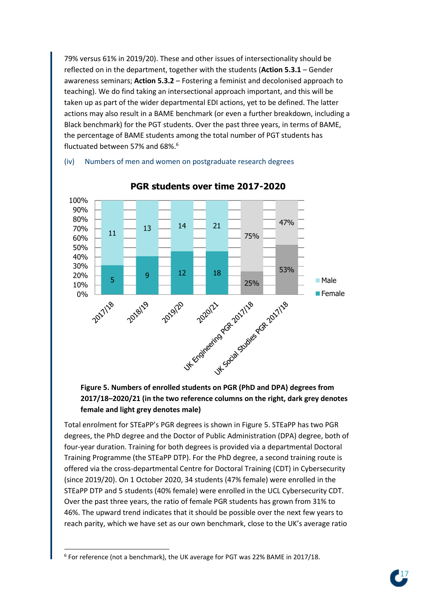79% versus 61% in 2019/20). These and other issues of intersectionality should be reflected on in the department, together with the students (**Action 5.3.1** – Gender awareness seminars; **Action 5.3.2** – Fostering a feminist and decolonised approach to teaching). We do find taking an intersectional approach important, and this will be taken up as part of the wider departmental EDI actions, yet to be defined. The latter actions may also result in a BAME benchmark (or even a further breakdown, including a Black benchmark) for the PGT students. Over the past three years, in terms of BAME, the percentage of BAME students among the total number of PGT students has fluctuated between 57% and 68%.<sup>6</sup>

## (iv) Numbers of men and women on postgraduate research degrees



# **PGR students over time 2017-2020**

# **Figure 5. Numbers of enrolled students on PGR (PhD and DPA) degrees from 2017/18–2020/21 (in the two reference columns on the right, dark grey denotes female and light grey denotes male)**

Total enrolment for STEaPP's PGR degrees is shown in Figure 5. STEaPP has two PGR degrees, the PhD degree and the Doctor of Public Administration (DPA) degree, both of four-year duration. Training for both degrees is provided via a departmental Doctoral Training Programme (the STEaPP DTP). For the PhD degree, a second training route is offered via the cross-departmental Centre for Doctoral Training (CDT) in Cybersecurity (since 2019/20). On 1 October 2020, 34 students (47% female) were enrolled in the STEaPP DTP and 5 students (40% female) were enrolled in the UCL Cybersecurity CDT. Over the past three years, the ratio of female PGR students has grown from 31% to 46%. The upward trend indicates that it should be possible over the next few years to reach parity, which we have set as our own benchmark, close to the UK's average ratio



<sup>6</sup> For reference (not a benchmark), the UK average for PGT was 22% BAME in 2017/18.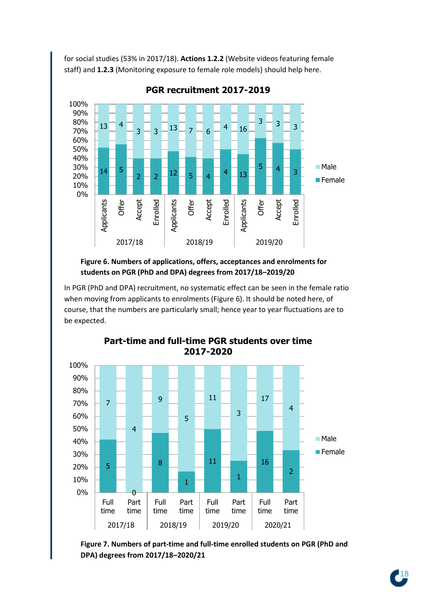for social studies (53% in 2017/18). **Actions 1.2.2** (Website videos featuring female staff) and **1.2.3** (Monitoring exposure to female role models) should help here.



**PGR recruitment 2017-2019**

# **Figure 6. Numbers of applications, offers, acceptances and enrolments for students on PGR (PhD and DPA) degrees from 2017/18–2019/20**

In PGR (PhD and DPA) recruitment, no systematic effect can be seen in the female ratio when moving from applicants to enrolments (Figure 6). It should be noted here, of course, that the numbers are particularly small; hence year to year fluctuations are to be expected.



# **Part-time and full-time PGR students over time 2017-2020**

**Figure 7. Numbers of part-time and full-time enrolled students on PGR (PhD and DPA) degrees from 2017/18–2020/21**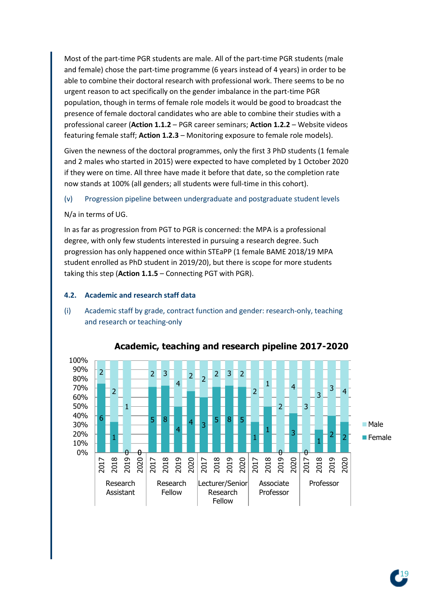Most of the part-time PGR students are male. All of the part-time PGR students (male and female) chose the part-time programme (6 years instead of 4 years) in order to be able to combine their doctoral research with professional work. There seems to be no urgent reason to act specifically on the gender imbalance in the part-time PGR population, though in terms of female role models it would be good to broadcast the presence of female doctoral candidates who are able to combine their studies with a professional career (**Action 1.1.2** – PGR career seminars; **Action 1.2.2** – Website videos featuring female staff; **Action 1.2.3** – Monitoring exposure to female role models).

Given the newness of the doctoral programmes, only the first 3 PhD students (1 female and 2 males who started in 2015) were expected to have completed by 1 October 2020 if they were on time. All three have made it before that date, so the completion rate now stands at 100% (all genders; all students were full-time in this cohort).

(v) Progression pipeline between undergraduate and postgraduate student levels

N/a in terms of UG.

In as far as progression from PGT to PGR is concerned: the MPA is a professional degree, with only few students interested in pursuing a research degree. Such progression has only happened once within STEaPP (1 female BAME 2018/19 MPA student enrolled as PhD student in 2019/20), but there is scope for more students taking this step (**Action 1.1.5** – Connecting PGT with PGR).

#### **4.2. Academic and research staff data**

(i) Academic staff by grade, contract function and gender: research-only, teaching and research or teaching-only



## **Academic, teaching and research pipeline 2017-2020**

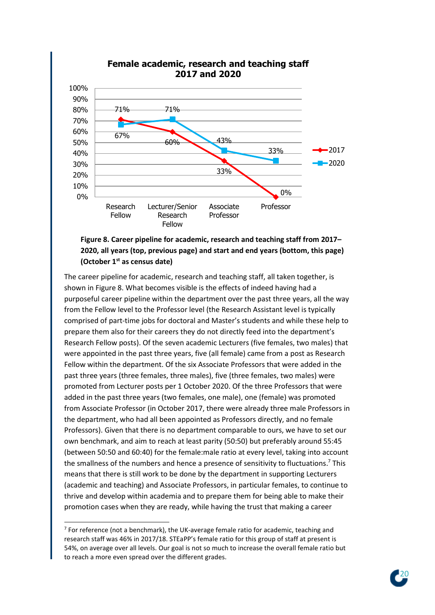

# **Female academic, research and teaching staff 2017 and 2020**

# **Figure 8. Career pipeline for academic, research and teaching staff from 2017– 2020, all years (top, previous page) and start and end years (bottom, this page) (October 1st as census date)**

The career pipeline for academic, research and teaching staff, all taken together, is shown in Figure 8. What becomes visible is the effects of indeed having had a purposeful career pipeline within the department over the past three years, all the way from the Fellow level to the Professor level (the Research Assistant level is typically comprised of part-time jobs for doctoral and Master's students and while these help to prepare them also for their careers they do not directly feed into the department's Research Fellow posts). Of the seven academic Lecturers (five females, two males) that were appointed in the past three years, five (all female) came from a post as Research Fellow within the department. Of the six Associate Professors that were added in the past three years (three females, three males), five (three females, two males) were promoted from Lecturer posts per 1 October 2020. Of the three Professors that were added in the past three years (two females, one male), one (female) was promoted from Associate Professor (in October 2017, there were already three male Professors in the department, who had all been appointed as Professors directly, and no female Professors). Given that there is no department comparable to ours, we have to set our own benchmark, and aim to reach at least parity (50:50) but preferably around 55:45 (between 50:50 and 60:40) for the female:male ratio at every level, taking into account the smallness of the numbers and hence a presence of sensitivity to fluctuations.<sup>7</sup> This means that there is still work to be done by the department in supporting Lecturers (academic and teaching) and Associate Professors, in particular females, to continue to thrive and develop within academia and to prepare them for being able to make their promotion cases when they are ready, while having the trust that making a career



<sup>&</sup>lt;sup>7</sup> For reference (not a benchmark), the UK-average female ratio for academic, teaching and research staff was 46% in 2017/18. STEaPP's female ratio for this group of staff at present is 54%, on average over all levels. Our goal is not so much to increase the overall female ratio but to reach a more even spread over the different grades.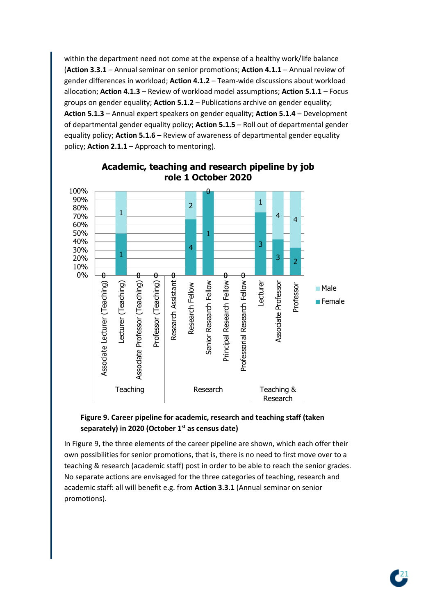within the department need not come at the expense of a healthy work/life balance (**Action 3.3.1** – Annual seminar on senior promotions; **Action 4.1.1** – Annual review of gender differences in workload; **Action 4.1.2** – Team-wide discussions about workload allocation; **Action 4.1.3** – Review of workload model assumptions; **Action 5.1.1** – Focus groups on gender equality; **Action 5.1.2** – Publications archive on gender equality; **Action 5.1.3** – Annual expert speakers on gender equality; **Action 5.1.4** – Development of departmental gender equality policy; **Action 5.1.5** – Roll out of departmental gender equality policy; **Action 5.1.6** – Review of awareness of departmental gender equality policy; **Action 2.1.1** – Approach to mentoring).



# **Academic, teaching and research pipeline by job role 1 October 2020**

# **Figure 9. Career pipeline for academic, research and teaching staff (taken separately) in 2020 (October 1st as census date)**

In Figure 9, the three elements of the career pipeline are shown, which each offer their own possibilities for senior promotions, that is, there is no need to first move over to a teaching & research (academic staff) post in order to be able to reach the senior grades. No separate actions are envisaged for the three categories of teaching, research and academic staff: all will benefit e.g. from **Action 3.3.1** (Annual seminar on senior promotions).

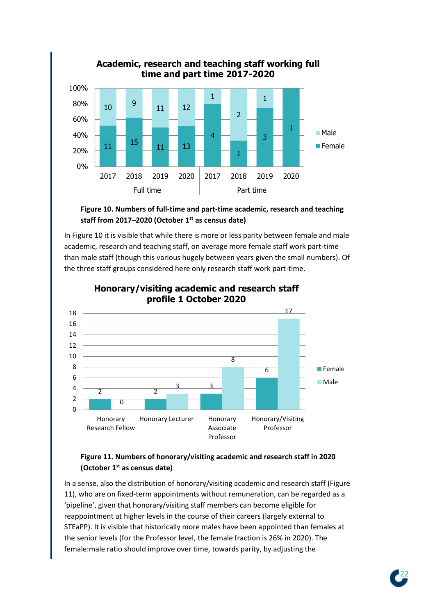

# **Figure 10. Numbers of full-time and part-time academic, research and teaching staff from 2017–2020 (October 1st as census date)**

In Figure 10 it is visible that while there is more or less parity between female and male academic, research and teaching staff, on average more female staff work part-time than male staff (though this various hugely between years given the small numbers). Of the three staff groups considered here only research staff work part-time.



# **Honorary/visiting academic and research staff profile 1 October 2020**

# **Figure 11. Numbers of honorary/visiting academic and research staff in 2020 (October 1st as census date)**

In a sense, also the distribution of honorary/visiting academic and research staff (Figure 11), who are on fixed-term appointments without remuneration, can be regarded as a 'pipeline', given that honorary/visiting staff members can become eligible for reappointment at higher levels in the course of their careers (largely external to STEaPP). It is visible that historically more males have been appointed than females at the senior levels (for the Professor level, the female fraction is 26% in 2020). The female:male ratio should improve over time, towards parity, by adjusting the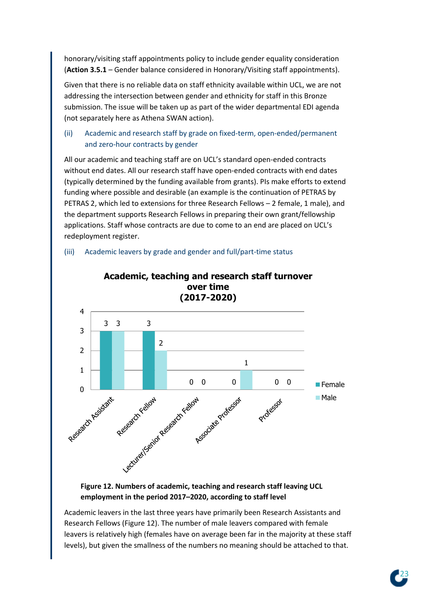honorary/visiting staff appointments policy to include gender equality consideration (**Action 3.5.1** – Gender balance considered in Honorary/Visiting staff appointments).

Given that there is no reliable data on staff ethnicity available within UCL, we are not addressing the intersection between gender and ethnicity for staff in this Bronze submission. The issue will be taken up as part of the wider departmental EDI agenda (not separately here as Athena SWAN action).

# (ii) Academic and research staff by grade on fixed-term, open-ended/permanent and zero-hour contracts by gender

All our academic and teaching staff are on UCL's standard open-ended contracts without end dates. All our research staff have open-ended contracts with end dates (typically determined by the funding available from grants). PIs make efforts to extend funding where possible and desirable (an example is the continuation of PETRAS by PETRAS 2, which led to extensions for three Research Fellows – 2 female, 1 male), and the department supports Research Fellows in preparing their own grant/fellowship applications. Staff whose contracts are due to come to an end are placed on UCL's redeployment register.

## (iii) Academic leavers by grade and gender and full/part-time status



# **Academic, teaching and research staff turnover**

# **Figure 12. Numbers of academic, teaching and research staff leaving UCL employment in the period 2017–2020, according to staff level**

Academic leavers in the last three years have primarily been Research Assistants and Research Fellows (Figure 12). The number of male leavers compared with female leavers is relatively high (females have on average been far in the majority at these staff levels), but given the smallness of the numbers no meaning should be attached to that.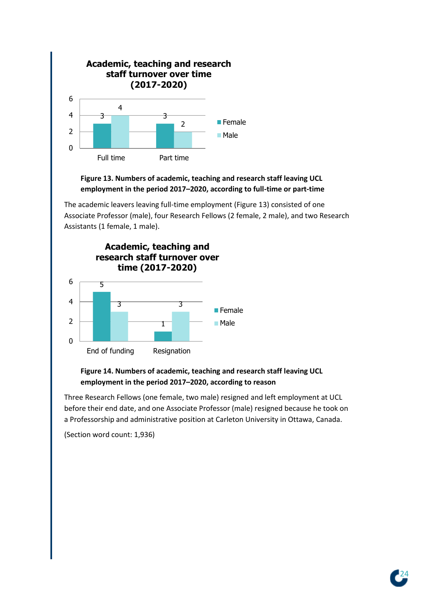

# **Figure 13. Numbers of academic, teaching and research staff leaving UCL employment in the period 2017–2020, according to full-time or part-time**

The academic leavers leaving full-time employment (Figure 13) consisted of one Associate Professor (male), four Research Fellows (2 female, 2 male), and two Research Assistants (1 female, 1 male).



# **Figure 14. Numbers of academic, teaching and research staff leaving UCL employment in the period 2017–2020, according to reason**

Three Research Fellows (one female, two male) resigned and left employment at UCL before their end date, and one Associate Professor (male) resigned because he took on a Professorship and administrative position at Carleton University in Ottawa, Canada.

(Section word count: 1,936)

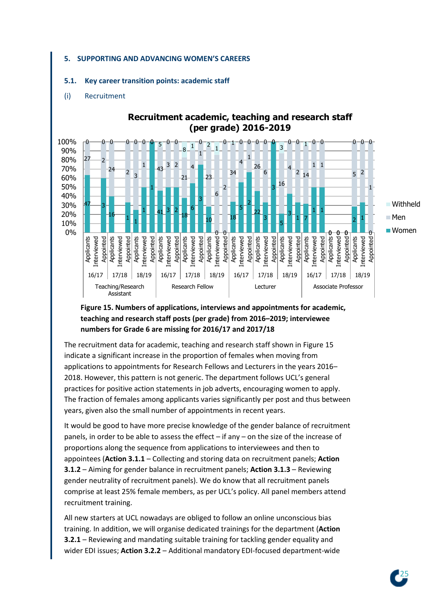#### **5. SUPPORTING AND ADVANCING WOMEN'S CAREERS**

#### **5.1. Key career transition points: academic staff**

#### (i) Recruitment



# **Recruitment academic, teaching and research staff (per grade) 2016-2019**

# **Figure 15. Numbers of applications, interviews and appointments for academic, teaching and research staff posts (per grade) from 2016–2019; interviewee numbers for Grade 6 are missing for 2016/17 and 2017/18**

The recruitment data for academic, teaching and research staff shown in Figure 15 indicate a significant increase in the proportion of females when moving from applications to appointments for Research Fellows and Lecturers in the years 2016– 2018. However, this pattern is not generic. The department follows UCL's general practices for positive action statements in job adverts, encouraging women to apply. The fraction of females among applicants varies significantly per post and thus between years, given also the small number of appointments in recent years.

It would be good to have more precise knowledge of the gender balance of recruitment panels, in order to be able to assess the effect – if any – on the size of the increase of proportions along the sequence from applications to interviewees and then to appointees (**Action 3.1.1** – Collecting and storing data on recruitment panels; **Action 3.1.2** – Aiming for gender balance in recruitment panels; **Action 3.1.3** – Reviewing gender neutrality of recruitment panels). We do know that all recruitment panels comprise at least 25% female members, as per UCL's policy. All panel members attend recruitment training.

All new starters at UCL nowadays are obliged to follow an online unconscious bias training. In addition, we will organise dedicated trainings for the department (**Action 3.2.1** – Reviewing and mandating suitable training for tackling gender equality and wider EDI issues; **Action 3.2.2** – Additional mandatory EDI-focused department-wide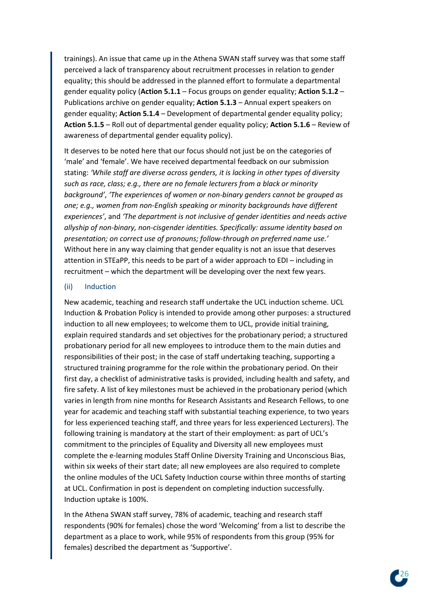trainings). An issue that came up in the Athena SWAN staff survey was that some staff perceived a lack of transparency about recruitment processes in relation to gender equality; this should be addressed in the planned effort to formulate a departmental gender equality policy (**Action 5.1.1** – Focus groups on gender equality; **Action 5.1.2** – Publications archive on gender equality; **Action 5.1.3** – Annual expert speakers on gender equality; **Action 5.1.4** – Development of departmental gender equality policy; **Action 5.1.5** – Roll out of departmental gender equality policy; **Action 5.1.6** – Review of awareness of departmental gender equality policy).

It deserves to be noted here that our focus should not just be on the categories of 'male' and 'female'. We have received departmental feedback on our submission stating: *'While staff are diverse across genders, it is lacking in other types of diversity such as race, class; e.g., there are no female lecturers from a black or minority background'*, *'The experiences of women or non-binary genders cannot be grouped as one; e.g., women from non-English speaking or minority backgrounds have different experiences'*, and *'The department is not inclusive of gender identities and needs active allyship of non-binary, non-cisgender identities. Specifically: assume identity based on presentation; on correct use of pronouns; follow-through on preferred name use.'* Without here in any way claiming that gender equality is not an issue that deserves attention in STEaPP, this needs to be part of a wider approach to EDI – including in recruitment – which the department will be developing over the next few years.

#### (ii) Induction

New academic, teaching and research staff undertake the UCL induction scheme. UCL Induction & Probation Policy is intended to provide among other purposes: a structured induction to all new employees; to welcome them to UCL, provide initial training, explain required standards and set objectives for the probationary period; a structured probationary period for all new employees to introduce them to the main duties and responsibilities of their post; in the case of staff undertaking teaching, supporting a structured training programme for the role within the probationary period. On their first day, a checklist of administrative tasks is provided, including health and safety, and fire safety. A list of key milestones must be achieved in the probationary period (which varies in length from nine months for Research Assistants and Research Fellows, to one year for academic and teaching staff with substantial teaching experience, to two years for less experienced teaching staff, and three years for less experienced Lecturers). The following training is mandatory at the start of their employment: as part of UCL's commitment to the principles of Equality and Diversity all new employees must complete the e-learning modules Staff Online Diversity Training and Unconscious Bias, within six weeks of their start date; all new employees are also required to complete the online modules of the UCL Safety Induction course within three months of starting at UCL. Confirmation in post is dependent on completing induction successfully. Induction uptake is 100%.

In the Athena SWAN staff survey, 78% of academic, teaching and research staff respondents (90% for females) chose the word 'Welcoming' from a list to describe the department as a place to work, while 95% of respondents from this group (95% for females) described the department as 'Supportive'.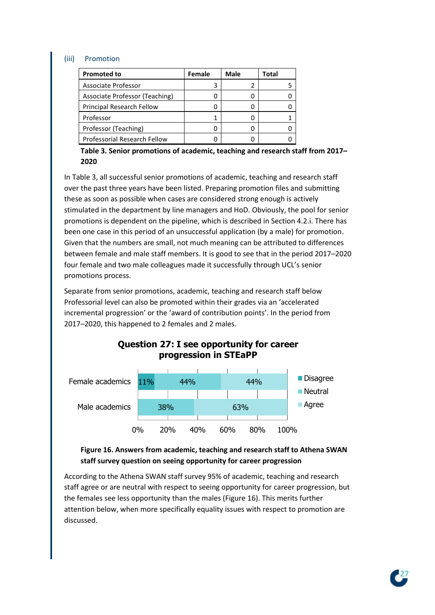#### (iii) Promotion

| <b>Promoted to</b>                  | Female | Male | Total |
|-------------------------------------|--------|------|-------|
| Associate Professor                 |        |      |       |
| Associate Professor (Teaching)      |        |      |       |
| Principal Research Fellow           |        |      |       |
| Professor                           |        |      |       |
| Professor (Teaching)                |        |      |       |
| <b>Professorial Research Fellow</b> |        |      |       |

**Table 3. Senior promotions of academic, teaching and research staff from 2017– 2020**

In Table 3, all successful senior promotions of academic, teaching and research staff over the past three years have been listed. Preparing promotion files and submitting these as soon as possible when cases are considered strong enough is actively stimulated in the department by line managers and HoD. Obviously, the pool for senior promotions is dependent on the pipeline, which is described in Section 4.2.i. There has been one case in this period of an unsuccessful application (by a male) for promotion. Given that the numbers are small, not much meaning can be attributed to differences between female and male staff members. It is good to see that in the period 2017–2020 four female and two male colleagues made it successfully through UCL's senior promotions process.

Separate from senior promotions, academic, teaching and research staff below Professorial level can also be promoted within their grades via an 'accelerated incremental progression' or the 'award of contribution points'. In the period from 2017–2020, this happened to 2 females and 2 males.



# **Question 27: I see opportunity for career progression in STEaPP**

# **Figure 16. Answers from academic, teaching and research staff to Athena SWAN staff survey question on seeing opportunity for career progression**

According to the Athena SWAN staff survey 95% of academic, teaching and research staff agree or are neutral with respect to seeing opportunity for career progression, but the females see less opportunity than the males (Figure 16). This merits further attention below, when more specifically equality issues with respect to promotion are discussed.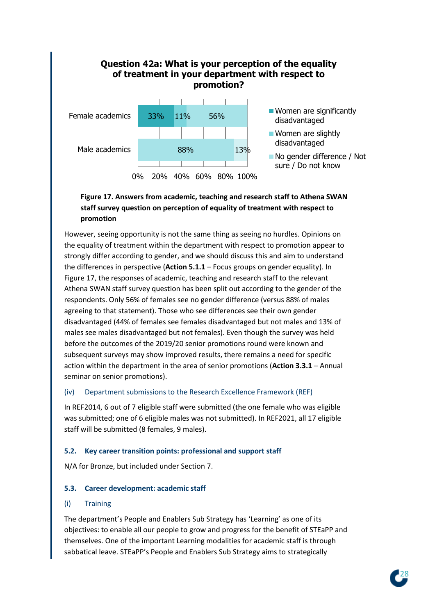# **Question 42a: What is your perception of the equality of treatment in your department with respect to promotion?**



# **Figure 17. Answers from academic, teaching and research staff to Athena SWAN staff survey question on perception of equality of treatment with respect to promotion**

However, seeing opportunity is not the same thing as seeing no hurdles. Opinions on the equality of treatment within the department with respect to promotion appear to strongly differ according to gender, and we should discuss this and aim to understand the differences in perspective (**Action 5.1.1** – Focus groups on gender equality). In Figure 17, the responses of academic, teaching and research staff to the relevant Athena SWAN staff survey question has been split out according to the gender of the respondents. Only 56% of females see no gender difference (versus 88% of males agreeing to that statement). Those who see differences see their own gender disadvantaged (44% of females see females disadvantaged but not males and 13% of males see males disadvantaged but not females). Even though the survey was held before the outcomes of the 2019/20 senior promotions round were known and subsequent surveys may show improved results, there remains a need for specific action within the department in the area of senior promotions (**Action 3.3.1** – Annual seminar on senior promotions).

## (iv) Department submissions to the Research Excellence Framework (REF)

In REF2014, 6 out of 7 eligible staff were submitted (the one female who was eligible was submitted; one of 6 eligible males was not submitted). In REF2021, all 17 eligible staff will be submitted (8 females, 9 males).

## **5.2. Key career transition points: professional and support staff**

N/A for Bronze, but included under Section 7.

## **5.3. Career development: academic staff**

## (i) Training

The department's People and Enablers Sub Strategy has 'Learning' as one of its objectives: to enable all our people to grow and progress for the benefit of STEaPP and themselves. One of the important Learning modalities for academic staff is through sabbatical leave. STEaPP's People and Enablers Sub Strategy aims to strategically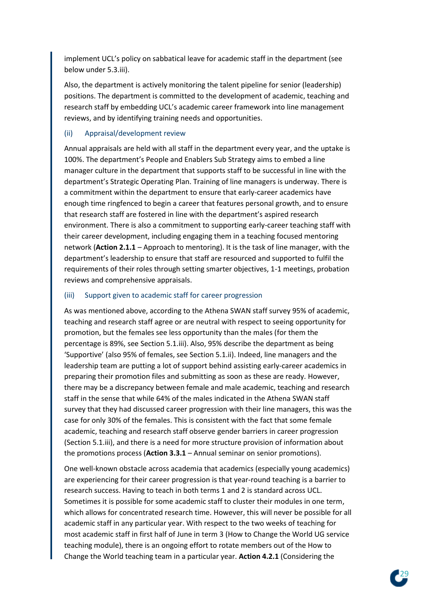implement UCL's policy on sabbatical leave for academic staff in the department (see below under 5.3.iii).

Also, the department is actively monitoring the talent pipeline for senior (leadership) positions. The department is committed to the development of academic, teaching and research staff by embedding UCL's academic career framework into line management reviews, and by identifying training needs and opportunities.

#### (ii) Appraisal/development review

Annual appraisals are held with all staff in the department every year, and the uptake is 100%. The department's People and Enablers Sub Strategy aims to embed a line manager culture in the department that supports staff to be successful in line with the department's Strategic Operating Plan. Training of line managers is underway. There is a commitment within the department to ensure that early-career academics have enough time ringfenced to begin a career that features personal growth, and to ensure that research staff are fostered in line with the department's aspired research environment. There is also a commitment to supporting early-career teaching staff with their career development, including engaging them in a teaching focused mentoring network (**Action 2.1.1** – Approach to mentoring). It is the task of line manager, with the department's leadership to ensure that staff are resourced and supported to fulfil the requirements of their roles through setting smarter objectives, 1-1 meetings, probation reviews and comprehensive appraisals.

#### (iii) Support given to academic staff for career progression

As was mentioned above, according to the Athena SWAN staff survey 95% of academic, teaching and research staff agree or are neutral with respect to seeing opportunity for promotion, but the females see less opportunity than the males (for them the percentage is 89%, see Section 5.1.iii). Also, 95% describe the department as being 'Supportive' (also 95% of females, see Section 5.1.ii). Indeed, line managers and the leadership team are putting a lot of support behind assisting early-career academics in preparing their promotion files and submitting as soon as these are ready. However, there may be a discrepancy between female and male academic, teaching and research staff in the sense that while 64% of the males indicated in the Athena SWAN staff survey that they had discussed career progression with their line managers, this was the case for only 30% of the females. This is consistent with the fact that some female academic, teaching and research staff observe gender barriers in career progression (Section 5.1.iii), and there is a need for more structure provision of information about the promotions process (**Action 3.3.1** – Annual seminar on senior promotions).

One well-known obstacle across academia that academics (especially young academics) are experiencing for their career progression is that year-round teaching is a barrier to research success. Having to teach in both terms 1 and 2 is standard across UCL. Sometimes it is possible for some academic staff to cluster their modules in one term, which allows for concentrated research time. However, this will never be possible for all academic staff in any particular year. With respect to the two weeks of teaching for most academic staff in first half of June in term 3 (How to Change the World UG service teaching module), there is an ongoing effort to rotate members out of the How to Change the World teaching team in a particular year. **Action 4.2.1** (Considering the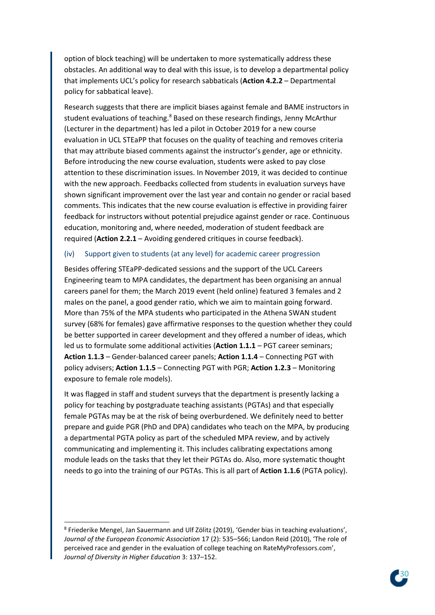option of block teaching) will be undertaken to more systematically address these obstacles. An additional way to deal with this issue, is to develop a departmental policy that implements UCL's policy for research sabbaticals (**Action 4.2.2** – Departmental policy for sabbatical leave).

Research suggests that there are implicit biases against female and BAME instructors in student evaluations of teaching.<sup>8</sup> Based on these research findings, Jenny McArthur (Lecturer in the department) has led a pilot in October 2019 for a new course evaluation in UCL STEaPP that focuses on the quality of teaching and removes criteria that may attribute biased comments against the instructor's gender, age or ethnicity. Before introducing the new course evaluation, students were asked to pay close attention to these discrimination issues. In November 2019, it was decided to continue with the new approach. Feedbacks collected from students in evaluation surveys have shown significant improvement over the last year and contain no gender or racial based comments. This indicates that the new course evaluation is effective in providing fairer feedback for instructors without potential prejudice against gender or race. Continuous education, monitoring and, where needed, moderation of student feedback are required (**Action 2.2.1** – Avoiding gendered critiques in course feedback).

#### (iv) Support given to students (at any level) for academic career progression

Besides offering STEaPP-dedicated sessions and the support of the UCL Careers Engineering team to MPA candidates, the department has been organising an annual careers panel for them; the March 2019 event (held online) featured 3 females and 2 males on the panel, a good gender ratio, which we aim to maintain going forward. More than 75% of the MPA students who participated in the Athena SWAN student survey (68% for females) gave affirmative responses to the question whether they could be better supported in career development and they offered a number of ideas, which led us to formulate some additional activities (**Action 1.1.1** – PGT career seminars; **Action 1.1.3** – Gender-balanced career panels; **Action 1.1.4** – Connecting PGT with policy advisers; **Action 1.1.5** – Connecting PGT with PGR; **Action 1.2.3** – Monitoring exposure to female role models).

It was flagged in staff and student surveys that the department is presently lacking a policy for teaching by postgraduate teaching assistants (PGTAs) and that especially female PGTAs may be at the risk of being overburdened. We definitely need to better prepare and guide PGR (PhD and DPA) candidates who teach on the MPA, by producing a departmental PGTA policy as part of the scheduled MPA review, and by actively communicating and implementing it. This includes calibrating expectations among module leads on the tasks that they let their PGTAs do. Also, more systematic thought needs to go into the training of our PGTAs. This is all part of **Action 1.1.6** (PGTA policy).



<sup>&</sup>lt;sup>8</sup> Friederike Mengel, Jan Sauermann and Ulf Zölitz (2019), 'Gender bias in teaching evaluations', *Journal of the European Economic Association* 17 (2): 535–566; Landon Reid (2010), 'The role of perceived race and gender in the evaluation of college teaching on RateMyProfessors.com', *Journal of Diversity in Higher Education* 3: 137–152.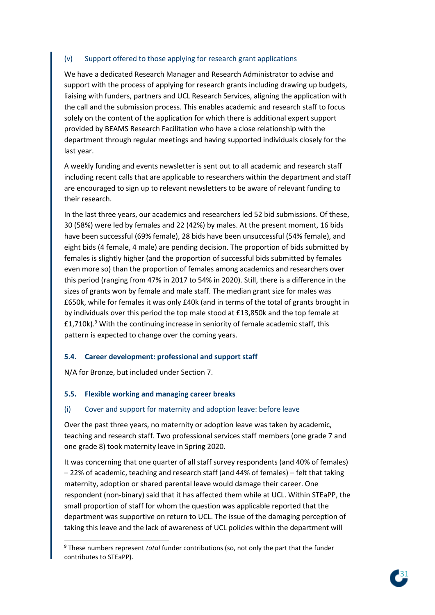## (v) Support offered to those applying for research grant applications

We have a dedicated Research Manager and Research Administrator to advise and support with the process of applying for research grants including drawing up budgets, liaising with funders, partners and UCL Research Services, aligning the application with the call and the submission process. This enables academic and research staff to focus solely on the content of the application for which there is additional expert support provided by BEAMS Research Facilitation who have a close relationship with the department through regular meetings and having supported individuals closely for the last year.

A weekly funding and events newsletter is sent out to all academic and research staff including recent calls that are applicable to researchers within the department and staff are encouraged to sign up to relevant newsletters to be aware of relevant funding to their research.

In the last three years, our academics and researchers led 52 bid submissions. Of these, 30 (58%) were led by females and 22 (42%) by males. At the present moment, 16 bids have been successful (69% female), 28 bids have been unsuccessful (54% female), and eight bids (4 female, 4 male) are pending decision. The proportion of bids submitted by females is slightly higher (and the proportion of successful bids submitted by females even more so) than the proportion of females among academics and researchers over this period (ranging from 47% in 2017 to 54% in 2020). Still, there is a difference in the sizes of grants won by female and male staff. The median grant size for males was £650k, while for females it was only £40k (and in terms of the total of grants brought in by individuals over this period the top male stood at £13,850k and the top female at  $£1,710k$ .<sup>9</sup> With the continuing increase in seniority of female academic staff, this pattern is expected to change over the coming years.

## **5.4. Career development: professional and support staff**

N/A for Bronze, but included under Section 7.

#### **5.5. Flexible working and managing career breaks**

#### (i) Cover and support for maternity and adoption leave: before leave

Over the past three years, no maternity or adoption leave was taken by academic, teaching and research staff. Two professional services staff members (one grade 7 and one grade 8) took maternity leave in Spring 2020.

It was concerning that one quarter of all staff survey respondents (and 40% of females) – 22% of academic, teaching and research staff (and 44% of females) – felt that taking maternity, adoption or shared parental leave would damage their career. One respondent (non-binary) said that it has affected them while at UCL. Within STEaPP, the small proportion of staff for whom the question was applicable reported that the department was supportive on return to UCL. The issue of the damaging perception of taking this leave and the lack of awareness of UCL policies within the department will



<sup>9</sup> These numbers represent *total* funder contributions (so, not only the part that the funder contributes to STEaPP).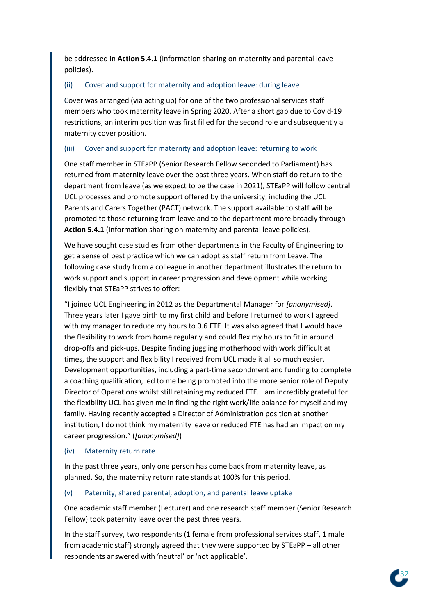be addressed in **Action 5.4.1** (Information sharing on maternity and parental leave policies).

# (ii) Cover and support for maternity and adoption leave: during leave

Cover was arranged (via acting up) for one of the two professional services staff members who took maternity leave in Spring 2020. After a short gap due to Covid-19 restrictions, an interim position was first filled for the second role and subsequently a maternity cover position.

## (iii) Cover and support for maternity and adoption leave: returning to work

One staff member in STEaPP (Senior Research Fellow seconded to Parliament) has returned from maternity leave over the past three years. When staff do return to the department from leave (as we expect to be the case in 2021), STEaPP will follow central UCL processes and promote support offered by the university, including the UCL Parents and Carers Together (PACT) network. The support available to staff will be promoted to those returning from leave and to the department more broadly through **Action 5.4.1** (Information sharing on maternity and parental leave policies).

We have sought case studies from other departments in the Faculty of Engineering to get a sense of best practice which we can adopt as staff return from Leave. The following case study from a colleague in another department illustrates the return to work support and support in career progression and development while working flexibly that STEaPP strives to offer:

"I joined UCL Engineering in 2012 as the Departmental Manager for *[anonymised]*. Three years later I gave birth to my first child and before I returned to work I agreed with my manager to reduce my hours to 0.6 FTE. It was also agreed that I would have the flexibility to work from home regularly and could flex my hours to fit in around drop-offs and pick-ups. Despite finding juggling motherhood with work difficult at times, the support and flexibility I received from UCL made it all so much easier. Development opportunities, including a part-time secondment and funding to complete a coaching qualification, led to me being promoted into the more senior role of Deputy Director of Operations whilst still retaining my reduced FTE. I am incredibly grateful for the flexibility UCL has given me in finding the right work/life balance for myself and my family. Having recently accepted a Director of Administration position at another institution, I do not think my maternity leave or reduced FTE has had an impact on my career progression." (*[anonymised]*)

## (iv) Maternity return rate

In the past three years, only one person has come back from maternity leave, as planned. So, the maternity return rate stands at 100% for this period.

## (v) Paternity, shared parental, adoption, and parental leave uptake

One academic staff member (Lecturer) and one research staff member (Senior Research Fellow) took paternity leave over the past three years.

In the staff survey, two respondents (1 female from professional services staff, 1 male from academic staff) strongly agreed that they were supported by STEaPP – all other respondents answered with 'neutral' or 'not applicable'.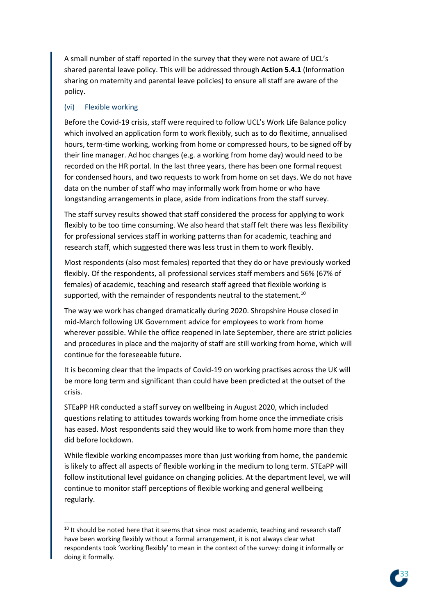A small number of staff reported in the survey that they were not aware of UCL's shared parental leave policy. This will be addressed through **Action 5.4.1** (Information sharing on maternity and parental leave policies) to ensure all staff are aware of the policy.

#### (vi) Flexible working

Before the Covid-19 crisis, staff were required to follow UCL's Work Life Balance policy which involved an application form to work flexibly, such as to do flexitime, annualised hours, term-time working, working from home or compressed hours, to be signed off by their line manager. Ad hoc changes (e.g. a working from home day) would need to be recorded on the HR portal. In the last three years, there has been one formal request for condensed hours, and two requests to work from home on set days. We do not have data on the number of staff who may informally work from home or who have longstanding arrangements in place, aside from indications from the staff survey.

The staff survey results showed that staff considered the process for applying to work flexibly to be too time consuming. We also heard that staff felt there was less flexibility for professional services staff in working patterns than for academic, teaching and research staff, which suggested there was less trust in them to work flexibly.

Most respondents (also most females) reported that they do or have previously worked flexibly. Of the respondents, all professional services staff members and 56% (67% of females) of academic, teaching and research staff agreed that flexible working is supported, with the remainder of respondents neutral to the statement.<sup>10</sup>

The way we work has changed dramatically during 2020. Shropshire House closed in mid-March following UK Government advice for employees to work from home wherever possible. While the office reopened in late September, there are strict policies and procedures in place and the majority of staff are still working from home, which will continue for the foreseeable future.

It is becoming clear that the impacts of Covid-19 on working practises across the UK will be more long term and significant than could have been predicted at the outset of the crisis.

STEaPP HR conducted a staff survey on wellbeing in August 2020, which included questions relating to attitudes towards working from home once the immediate crisis has eased. Most respondents said they would like to work from home more than they did before lockdown.

While flexible working encompasses more than just working from home, the pandemic is likely to affect all aspects of flexible working in the medium to long term. STEaPP will follow institutional level guidance on changing policies. At the department level, we will continue to monitor staff perceptions of flexible working and general wellbeing regularly.



<sup>&</sup>lt;sup>10</sup> It should be noted here that it seems that since most academic, teaching and research staff have been working flexibly without a formal arrangement, it is not always clear what respondents took 'working flexibly' to mean in the context of the survey: doing it informally or doing it formally.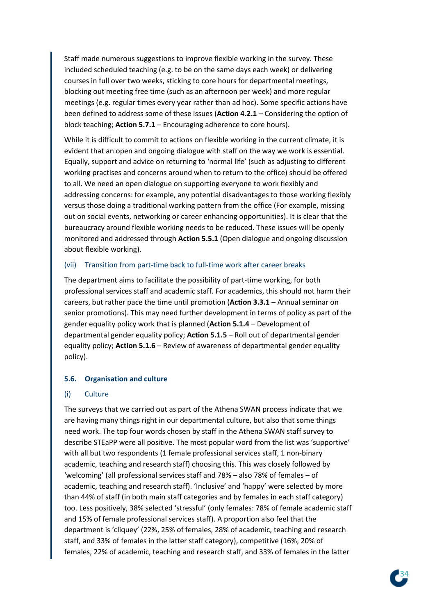Staff made numerous suggestions to improve flexible working in the survey. These included scheduled teaching (e.g. to be on the same days each week) or delivering courses in full over two weeks, sticking to core hours for departmental meetings, blocking out meeting free time (such as an afternoon per week) and more regular meetings (e.g. regular times every year rather than ad hoc). Some specific actions have been defined to address some of these issues (**Action 4.2.1** – Considering the option of block teaching; **Action 5.7.1** – Encouraging adherence to core hours).

While it is difficult to commit to actions on flexible working in the current climate, it is evident that an open and ongoing dialogue with staff on the way we work is essential. Equally, support and advice on returning to 'normal life' (such as adjusting to different working practises and concerns around when to return to the office) should be offered to all. We need an open dialogue on supporting everyone to work flexibly and addressing concerns: for example, any potential disadvantages to those working flexibly versus those doing a traditional working pattern from the office (For example, missing out on social events, networking or career enhancing opportunities). It is clear that the bureaucracy around flexible working needs to be reduced. These issues will be openly monitored and addressed through **Action 5.5.1** (Open dialogue and ongoing discussion about flexible working).

#### (vii) Transition from part-time back to full-time work after career breaks

The department aims to facilitate the possibility of part-time working, for both professional services staff and academic staff. For academics, this should not harm their careers, but rather pace the time until promotion (**Action 3.3.1** – Annual seminar on senior promotions). This may need further development in terms of policy as part of the gender equality policy work that is planned (**Action 5.1.4** – Development of departmental gender equality policy; **Action 5.1.5** – Roll out of departmental gender equality policy; **Action 5.1.6** – Review of awareness of departmental gender equality policy).

#### **5.6. Organisation and culture**

#### (i) Culture

The surveys that we carried out as part of the Athena SWAN process indicate that we are having many things right in our departmental culture, but also that some things need work. The top four words chosen by staff in the Athena SWAN staff survey to describe STEaPP were all positive. The most popular word from the list was 'supportive' with all but two respondents (1 female professional services staff, 1 non-binary academic, teaching and research staff) choosing this. This was closely followed by 'welcoming' (all professional services staff and 78% – also 78% of females – of academic, teaching and research staff). 'Inclusive' and 'happy' were selected by more than 44% of staff (in both main staff categories and by females in each staff category) too. Less positively, 38% selected 'stressful' (only females: 78% of female academic staff and 15% of female professional services staff). A proportion also feel that the department is 'cliquey' (22%, 25% of females, 28% of academic, teaching and research staff, and 33% of females in the latter staff category), competitive (16%, 20% of females, 22% of academic, teaching and research staff, and 33% of females in the latter

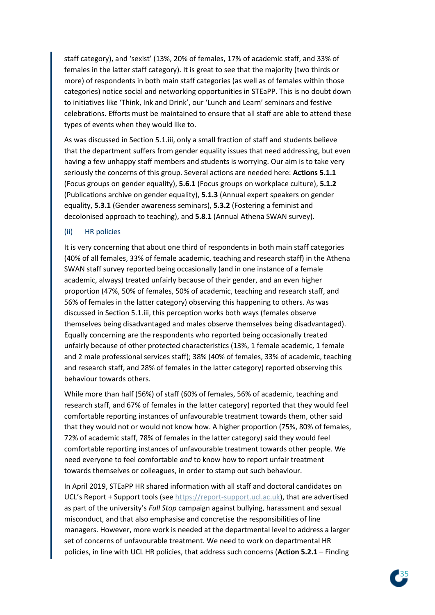staff category), and 'sexist' (13%, 20% of females, 17% of academic staff, and 33% of females in the latter staff category). It is great to see that the majority (two thirds or more) of respondents in both main staff categories (as well as of females within those categories) notice social and networking opportunities in STEaPP. This is no doubt down to initiatives like 'Think, Ink and Drink', our 'Lunch and Learn' seminars and festive celebrations. Efforts must be maintained to ensure that all staff are able to attend these types of events when they would like to.

As was discussed in Section 5.1.iii, only a small fraction of staff and students believe that the department suffers from gender equality issues that need addressing, but even having a few unhappy staff members and students is worrying. Our aim is to take very seriously the concerns of this group. Several actions are needed here: **Actions 5.1.1** (Focus groups on gender equality), **5.6.1** (Focus groups on workplace culture), **5.1.2** (Publications archive on gender equality), **5.1.3** (Annual expert speakers on gender equality, **5.3.1** (Gender awareness seminars), **5.3.2** (Fostering a feminist and decolonised approach to teaching), and **5.8.1** (Annual Athena SWAN survey).

#### (ii) HR policies

It is very concerning that about one third of respondents in both main staff categories (40% of all females, 33% of female academic, teaching and research staff) in the Athena SWAN staff survey reported being occasionally (and in one instance of a female academic, always) treated unfairly because of their gender, and an even higher proportion (47%, 50% of females, 50% of academic, teaching and research staff, and 56% of females in the latter category) observing this happening to others. As was discussed in Section 5.1.iii, this perception works both ways (females observe themselves being disadvantaged and males observe themselves being disadvantaged). Equally concerning are the respondents who reported being occasionally treated unfairly because of other protected characteristics (13%, 1 female academic, 1 female and 2 male professional services staff); 38% (40% of females, 33% of academic, teaching and research staff, and 28% of females in the latter category) reported observing this behaviour towards others.

While more than half (56%) of staff (60% of females, 56% of academic, teaching and research staff, and 67% of females in the latter category) reported that they would feel comfortable reporting instances of unfavourable treatment towards them, other said that they would not or would not know how. A higher proportion (75%, 80% of females, 72% of academic staff, 78% of females in the latter category) said they would feel comfortable reporting instances of unfavourable treatment towards other people. We need everyone to feel comfortable *and* to know how to report unfair treatment towards themselves or colleagues, in order to stamp out such behaviour.

In April 2019, STEaPP HR shared information with all staff and doctoral candidates on UCL's Report + Support tools (see [https://report-support.ucl.ac.uk\)](https://report-support.ucl.ac.uk/), that are advertised as part of the university's *Full Stop* campaign against bullying, harassment and sexual misconduct, and that also emphasise and concretise the responsibilities of line managers. However, more work is needed at the departmental level to address a larger set of concerns of unfavourable treatment. We need to work on departmental HR policies, in line with UCL HR policies, that address such concerns (**Action 5.2.1** – Finding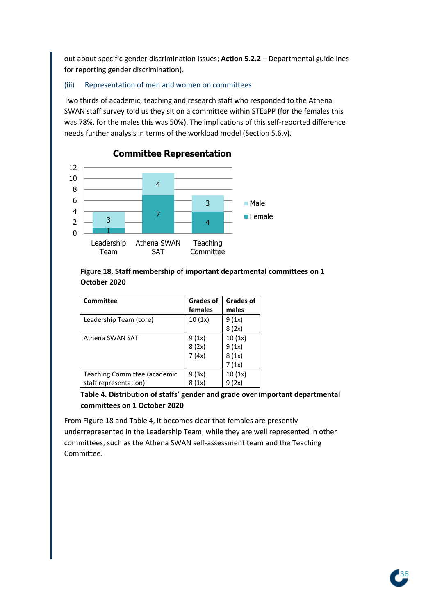out about specific gender discrimination issues; **Action 5.2.2** – Departmental guidelines for reporting gender discrimination).

#### (iii) Representation of men and women on committees

Two thirds of academic, teaching and research staff who responded to the Athena SWAN staff survey told us they sit on a committee within STEaPP (for the females this was 78%, for the males this was 50%). The implications of this self-reported difference needs further analysis in terms of the workload model (Section 5.6.v).



# **Committee Representation**

## **Figure 18. Staff membership of important departmental committees on 1 October 2020**

| Committee                    | <b>Grades of</b><br>females | <b>Grades of</b><br>males |
|------------------------------|-----------------------------|---------------------------|
| Leadership Team (core)       | 10(1x)                      | 9(1x)                     |
|                              |                             | 8(2x)                     |
| Athena SWAN SAT              | 9 (1x)                      | 10(1x)                    |
|                              | 8 (2x)                      | 9(1x)                     |
|                              | 7 (4x)                      | 8(1x)                     |
|                              |                             | 7(1x)                     |
| Teaching Committee (academic | 9 (3x)                      | 10(1x)                    |
| staff representation)        | (1x)                        |                           |

## **Table 4. Distribution of staffs' gender and grade over important departmental committees on 1 October 2020**

From Figure 18 and Table 4, it becomes clear that females are presently underrepresented in the Leadership Team, while they are well represented in other committees, such as the Athena SWAN self-assessment team and the Teaching Committee.

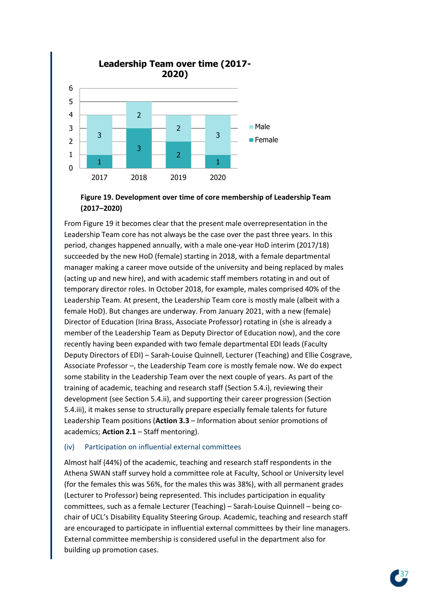



From Figure 19 it becomes clear that the present male overrepresentation in the Leadership Team core has not always be the case over the past three years. In this period, changes happened annually, with a male one-year HoD interim (2017/18) succeeded by the new HoD (female) starting in 2018, with a female departmental manager making a career move outside of the university and being replaced by males (acting up and new hire), and with academic staff members rotating in and out of temporary director roles. In October 2018, for example, males comprised 40% of the Leadership Team. At present, the Leadership Team core is mostly male (albeit with a female HoD). But changes are underway. From January 2021, with a new (female) Director of Education (Irina Brass, Associate Professor) rotating in (she is already a member of the Leadership Team as Deputy Director of Education now), and the core recently having been expanded with two female departmental EDI leads (Faculty Deputy Directors of EDI) – Sarah-Louise Quinnell, Lecturer (Teaching) and Ellie Cosgrave, Associate Professor –, the Leadership Team core is mostly female now. We do expect some stability in the Leadership Team over the next couple of years. As part of the training of academic, teaching and research staff (Section 5.4.i), reviewing their development (see Section 5.4.ii), and supporting their career progression (Section 5.4.iii), it makes sense to structurally prepare especially female talents for future Leadership Team positions (**Action 3.3** – Information about senior promotions of academics; **Action 2.1** – Staff mentoring).

#### (iv) Participation on influential external committees

Almost half (44%) of the academic, teaching and research staff respondents in the Athena SWAN staff survey hold a committee role at Faculty, School or University level (for the females this was 56%, for the males this was 38%), with all permanent grades (Lecturer to Professor) being represented. This includes participation in equality committees, such as a female Lecturer (Teaching) – Sarah-Louise Quinnell – being cochair of UCL's Disability Equality Steering Group. Academic, teaching and research staff are encouraged to participate in influential external committees by their line managers. External committee membership is considered useful in the department also for building up promotion cases.

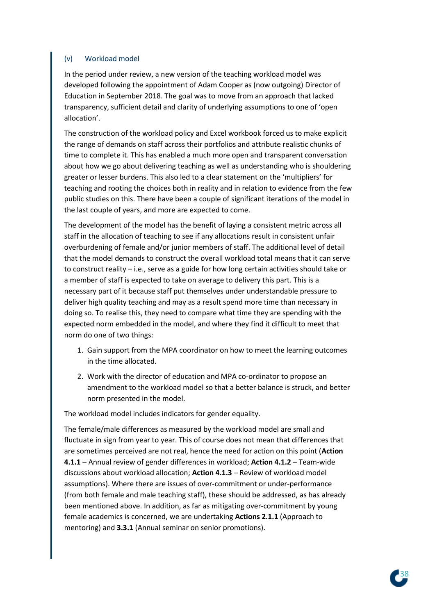## (v) Workload model

In the period under review, a new version of the teaching workload model was developed following the appointment of Adam Cooper as (now outgoing) Director of Education in September 2018. The goal was to move from an approach that lacked transparency, sufficient detail and clarity of underlying assumptions to one of 'open allocation'.

The construction of the workload policy and Excel workbook forced us to make explicit the range of demands on staff across their portfolios and attribute realistic chunks of time to complete it. This has enabled a much more open and transparent conversation about how we go about delivering teaching as well as understanding who is shouldering greater or lesser burdens. This also led to a clear statement on the 'multipliers' for teaching and rooting the choices both in reality and in relation to evidence from the few public studies on this. There have been a couple of significant iterations of the model in the last couple of years, and more are expected to come.

The development of the model has the benefit of laying a consistent metric across all staff in the allocation of teaching to see if any allocations result in consistent unfair overburdening of female and/or junior members of staff. The additional level of detail that the model demands to construct the overall workload total means that it can serve to construct reality – i.e., serve as a guide for how long certain activities should take or a member of staff is expected to take on average to delivery this part. This is a necessary part of it because staff put themselves under understandable pressure to deliver high quality teaching and may as a result spend more time than necessary in doing so. To realise this, they need to compare what time they are spending with the expected norm embedded in the model, and where they find it difficult to meet that norm do one of two things:

- 1. Gain support from the MPA coordinator on how to meet the learning outcomes in the time allocated.
- 2. Work with the director of education and MPA co-ordinator to propose an amendment to the workload model so that a better balance is struck, and better norm presented in the model.

The workload model includes indicators for gender equality.

The female/male differences as measured by the workload model are small and fluctuate in sign from year to year. This of course does not mean that differences that are sometimes perceived are not real, hence the need for action on this point (**Action 4.1.1** – Annual review of gender differences in workload; **Action 4.1.2** – Team-wide discussions about workload allocation; **Action 4.1.3** – Review of workload model assumptions). Where there are issues of over-commitment or under-performance (from both female and male teaching staff), these should be addressed, as has already been mentioned above. In addition, as far as mitigating over-commitment by young female academics is concerned, we are undertaking **Actions 2.1.1** (Approach to mentoring) and **3.3.1** (Annual seminar on senior promotions).

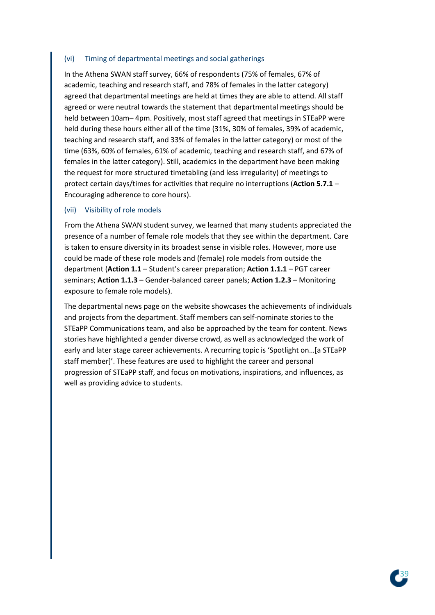#### (vi) Timing of departmental meetings and social gatherings

In the Athena SWAN staff survey, 66% of respondents (75% of females, 67% of academic, teaching and research staff, and 78% of females in the latter category) agreed that departmental meetings are held at times they are able to attend. All staff agreed or were neutral towards the statement that departmental meetings should be held between 10am– 4pm. Positively, most staff agreed that meetings in STEaPP were held during these hours either all of the time (31%, 30% of females, 39% of academic, teaching and research staff, and 33% of females in the latter category) or most of the time (63%, 60% of females, 61% of academic, teaching and research staff, and 67% of females in the latter category). Still, academics in the department have been making the request for more structured timetabling (and less irregularity) of meetings to protect certain days/times for activities that require no interruptions (**Action 5.7.1** – Encouraging adherence to core hours).

#### (vii) Visibility of role models

From the Athena SWAN student survey, we learned that many students appreciated the presence of a number of female role models that they see within the department. Care is taken to ensure diversity in its broadest sense in visible roles. However, more use could be made of these role models and (female) role models from outside the department (**Action 1.1** – Student's career preparation; **Action 1.1.1** – PGT career seminars; **Action 1.1.3** – Gender-balanced career panels; **Action 1.2.3** – Monitoring exposure to female role models).

The departmental news page on the website showcases the achievements of individuals and projects from the department. Staff members can self-nominate stories to the STEaPP Communications team, and also be approached by the team for content. News stories have highlighted a gender diverse crowd, as well as acknowledged the work of early and later stage career achievements. A recurring topic is 'Spotlight on…[a STEaPP staff member]'. These features are used to highlight the career and personal progression of STEaPP staff, and focus on motivations, inspirations, and influences, as well as providing advice to students.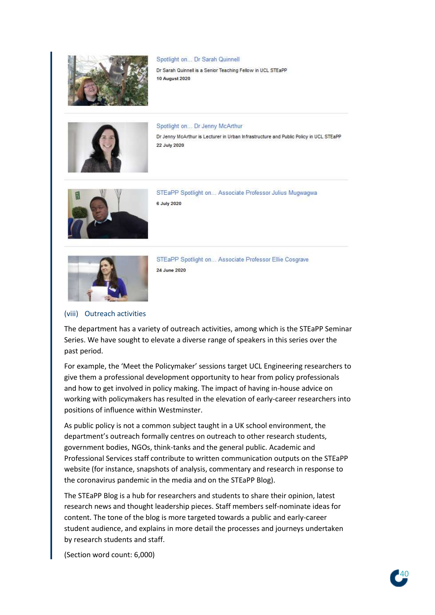

#### Spotlight on... Dr Sarah Quinnell

Dr Sarah Quinnell is a Senior Teaching Fellow in UCL STEaPP **10 August 2020** 



Spotlight on... Dr Jenny McArthur Dr Jenny McArthur is Lecturer in Urban Infrastructure and Public Policy in UCL STEaPP 22 July 2020



STEaPP Spotlight on... Associate Professor Julius Mugwagwa 6 July 2020



STEaPP Spotlight on... Associate Professor Ellie Cosgrave 24 June 2020

#### (viii) Outreach activities

The department has a variety of outreach activities, among which is the STEaPP Seminar Series. We have sought to elevate a diverse range of speakers in this series over the past period.

For example, the 'Meet the Policymaker' sessions target UCL Engineering researchers to give them a professional development opportunity to hear from policy professionals and how to get involved in policy making. The impact of having in-house advice on working with policymakers has resulted in the elevation of early-career researchers into positions of influence within Westminster.

As public policy is not a common subject taught in a UK school environment, the department's outreach formally centres on outreach to other research students, government bodies, NGOs, think-tanks and the general public. Academic and Professional Services staff contribute to written communication outputs on the STEaPP website (for instance, snapshots of analysis, commentary and research in response to the coronavirus pandemic in the media and on the STEaPP Blog).

The STEaPP Blog is a hub for researchers and students to share their opinion, latest research news and thought leadership pieces. Staff members self-nominate ideas for content. The tone of the blog is more targeted towards a public and early-career student audience, and explains in more detail the processes and journeys undertaken by research students and staff.

(Section word count: 6,000)

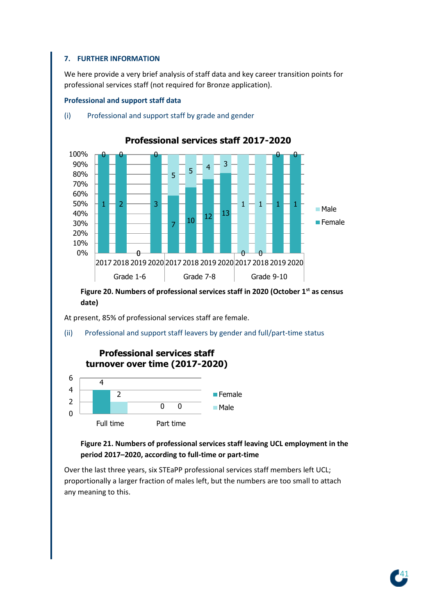## **7. FURTHER INFORMATION**

We here provide a very brief analysis of staff data and key career transition points for professional services staff (not required for Bronze application).

#### **Professional and support staff data**



#### (i) Professional and support staff by grade and gender

**Figure 20. Numbers of professional services staff in 2020 (October 1st as census date)** 

At present, 85% of professional services staff are female.

(ii) Professional and support staff leavers by gender and full/part-time status



# **Figure 21. Numbers of professional services staff leaving UCL employment in the period 2017–2020, according to full-time or part-time**

Over the last three years, six STEaPP professional services staff members left UCL; proportionally a larger fraction of males left, but the numbers are too small to attach any meaning to this.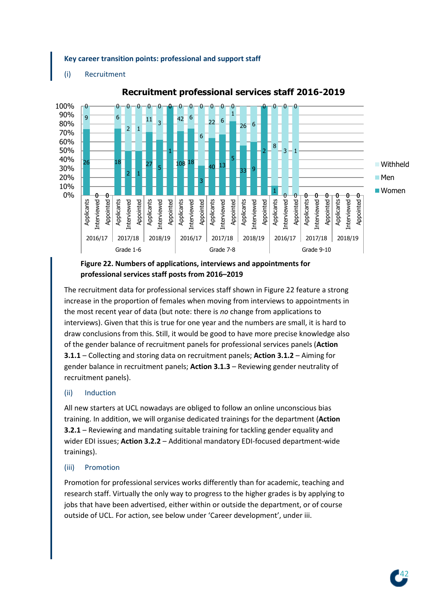#### **Key career transition points: professional and support staff**

(i) Recruitment



# **Recruitment professional services staff 2016-2019**

# **Figure 22. Numbers of applications, interviews and appointments for professional services staff posts from 2016–2019**

The recruitment data for professional services staff shown in Figure 22 feature a strong increase in the proportion of females when moving from interviews to appointments in the most recent year of data (but note: there is *no* change from applications to interviews). Given that this is true for one year and the numbers are small, it is hard to draw conclusions from this. Still, it would be good to have more precise knowledge also of the gender balance of recruitment panels for professional services panels (**Action 3.1.1** – Collecting and storing data on recruitment panels; **Action 3.1.2** – Aiming for gender balance in recruitment panels; **Action 3.1.3** – Reviewing gender neutrality of recruitment panels).

## (ii) Induction

All new starters at UCL nowadays are obliged to follow an online unconscious bias training. In addition, we will organise dedicated trainings for the department (**Action 3.2.1** – Reviewing and mandating suitable training for tackling gender equality and wider EDI issues; **Action 3.2.2** – Additional mandatory EDI-focused department-wide trainings).

## (iii) Promotion

Promotion for professional services works differently than for academic, teaching and research staff. Virtually the only way to progress to the higher grades is by applying to jobs that have been advertised, either within or outside the department, or of course outside of UCL. For action, see below under 'Career development', under iii.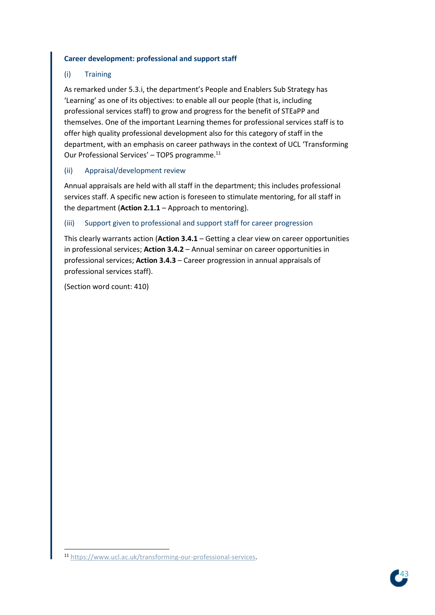#### **Career development: professional and support staff**

# (i) Training

As remarked under 5.3.i, the department's People and Enablers Sub Strategy has 'Learning' as one of its objectives: to enable all our people (that is, including professional services staff) to grow and progress for the benefit of STEaPP and themselves. One of the important Learning themes for professional services staff is to offer high quality professional development also for this category of staff in the department, with an emphasis on career pathways in the context of UCL 'Transforming Our Professional Services' – TOPS programme.<sup>11</sup>

## (ii) Appraisal/development review

Annual appraisals are held with all staff in the department; this includes professional services staff. A specific new action is foreseen to stimulate mentoring, for all staff in the department (**Action 2.1.1** – Approach to mentoring).

#### (iii) Support given to professional and support staff for career progression

This clearly warrants action (**Action 3.4.1** – Getting a clear view on career opportunities in professional services; **Action 3.4.2** – Annual seminar on career opportunities in professional services; **Action 3.4.3** – Career progression in annual appraisals of professional services staff).

(Section word count: 410)



<sup>11</sup> [https://www.ucl.ac.uk/transforming-our-professional-services.](https://www.ucl.ac.uk/transforming-our-professional-services)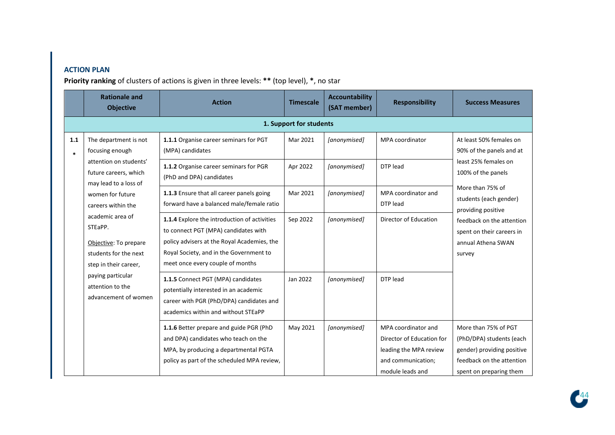# **ACTION PLAN**

**Priority ranking** of clusters of actions is given in three levels: **\*\*** (top level), **\***, no star

|               | <b>Rationale and</b><br><b>Objective</b>                                                               | <b>Action</b>                                                                                                                                                                                                      | <b>Timescale</b>        | <b>Accountability</b><br>(SAT member) | <b>Responsibility</b>                                                                                                | <b>Success Measures</b>                                                                                                                |
|---------------|--------------------------------------------------------------------------------------------------------|--------------------------------------------------------------------------------------------------------------------------------------------------------------------------------------------------------------------|-------------------------|---------------------------------------|----------------------------------------------------------------------------------------------------------------------|----------------------------------------------------------------------------------------------------------------------------------------|
|               |                                                                                                        |                                                                                                                                                                                                                    | 1. Support for students |                                       |                                                                                                                      |                                                                                                                                        |
| 1.1<br>$\ast$ | The department is not<br>focusing enough                                                               | 1.1.1 Organise career seminars for PGT<br>(MPA) candidates                                                                                                                                                         | Mar 2021                | [anonymised]                          | MPA coordinator                                                                                                      | At least 50% females on<br>90% of the panels and at                                                                                    |
|               | attention on students'<br>future careers, which<br>may lead to a loss of                               | 1.1.2 Organise career seminars for PGR<br>(PhD and DPA) candidates                                                                                                                                                 | Apr 2022                | [anonymised]                          | DTP lead                                                                                                             | least 25% females on<br>100% of the panels                                                                                             |
|               | women for future<br>careers within the                                                                 | 1.1.3 Ensure that all career panels going<br>forward have a balanced male/female ratio                                                                                                                             | Mar 2021                | [anonymised]                          | MPA coordinator and<br>DTP lead                                                                                      | More than 75% of<br>students (each gender)<br>providing positive                                                                       |
|               | academic area of<br>STEaPP.<br>Objective: To prepare<br>students for the next<br>step in their career, | 1.1.4 Explore the introduction of activities<br>to connect PGT (MPA) candidates with<br>policy advisers at the Royal Academies, the<br>Royal Society, and in the Government to<br>meet once every couple of months | Sep 2022                | [anonymised]                          | Director of Education                                                                                                | feedback on the attention<br>spent on their careers in<br>annual Athena SWAN<br>survey                                                 |
|               | paying particular<br>attention to the<br>advancement of women                                          | 1.1.5 Connect PGT (MPA) candidates<br>potentially interested in an academic<br>career with PGR (PhD/DPA) candidates and<br>academics within and without STEaPP                                                     | Jan 2022                | [anonymised]                          | DTP lead                                                                                                             |                                                                                                                                        |
|               |                                                                                                        | 1.1.6 Better prepare and guide PGR (PhD<br>and DPA) candidates who teach on the<br>MPA, by producing a departmental PGTA<br>policy as part of the scheduled MPA review,                                            | May 2021                | [anonymised]                          | MPA coordinator and<br>Director of Education for<br>leading the MPA review<br>and communication;<br>module leads and | More than 75% of PGT<br>(PhD/DPA) students (each<br>gender) providing positive<br>feedback on the attention<br>spent on preparing them |

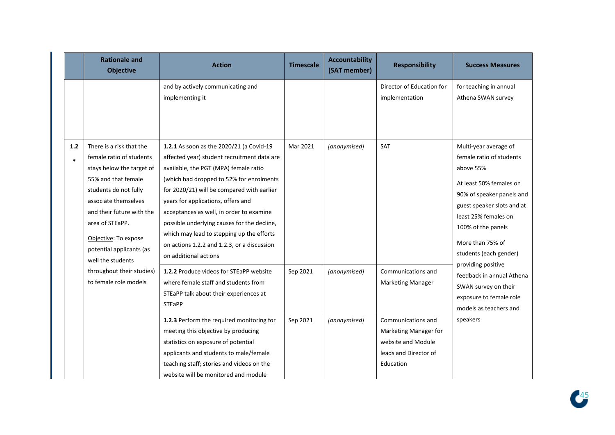|               | <b>Rationale and</b><br><b>Objective</b>                                                                                                                                                                                                                                                                        | <b>Action</b>                                                                                                                                                                                                                                                                                                                                                                                                                                                                                                               | <b>Timescale</b>     | <b>Accountability</b><br>(SAT member) | <b>Responsibility</b>                                                                                                               | <b>Success Measures</b>                                                                                                                                                                                                                                                                             |
|---------------|-----------------------------------------------------------------------------------------------------------------------------------------------------------------------------------------------------------------------------------------------------------------------------------------------------------------|-----------------------------------------------------------------------------------------------------------------------------------------------------------------------------------------------------------------------------------------------------------------------------------------------------------------------------------------------------------------------------------------------------------------------------------------------------------------------------------------------------------------------------|----------------------|---------------------------------------|-------------------------------------------------------------------------------------------------------------------------------------|-----------------------------------------------------------------------------------------------------------------------------------------------------------------------------------------------------------------------------------------------------------------------------------------------------|
|               |                                                                                                                                                                                                                                                                                                                 | and by actively communicating and<br>implementing it                                                                                                                                                                                                                                                                                                                                                                                                                                                                        |                      |                                       | Director of Education for<br>implementation                                                                                         | for teaching in annual<br>Athena SWAN survey                                                                                                                                                                                                                                                        |
| 1.2<br>$\ast$ | There is a risk that the<br>female ratio of students<br>stays below the target of<br>55% and that female<br>students do not fully<br>associate themselves<br>and their future with the<br>area of STEaPP.<br>Objective: To expose<br>potential applicants (as<br>well the students<br>throughout their studies) | 1.2.1 As soon as the 2020/21 (a Covid-19<br>affected year) student recruitment data are<br>available, the PGT (MPA) female ratio<br>(which had dropped to 52% for enrolments<br>for 2020/21) will be compared with earlier<br>years for applications, offers and<br>acceptances as well, in order to examine<br>possible underlying causes for the decline,<br>which may lead to stepping up the efforts<br>on actions 1.2.2 and 1.2.3, or a discussion<br>on additional actions<br>1.2.2 Produce videos for STEaPP website | Mar 2021<br>Sep 2021 | [anonymised]<br>[anonymised]          | SAT<br>Communications and                                                                                                           | Multi-year average of<br>female ratio of students<br>above 55%<br>At least 50% females on<br>90% of speaker panels and<br>guest speaker slots and at<br>least 25% females on<br>100% of the panels<br>More than 75% of<br>students (each gender)<br>providing positive<br>feedback in annual Athena |
|               | to female role models                                                                                                                                                                                                                                                                                           | where female staff and students from<br>STEaPP talk about their experiences at<br><b>STEaPP</b><br>1.2.3 Perform the required monitoring for<br>meeting this objective by producing<br>statistics on exposure of potential<br>applicants and students to male/female<br>teaching staff; stories and videos on the                                                                                                                                                                                                           | Sep 2021             | [anonymised]                          | <b>Marketing Manager</b><br>Communications and<br>Marketing Manager for<br>website and Module<br>leads and Director of<br>Education | SWAN survey on their<br>exposure to female role<br>models as teachers and<br>speakers                                                                                                                                                                                                               |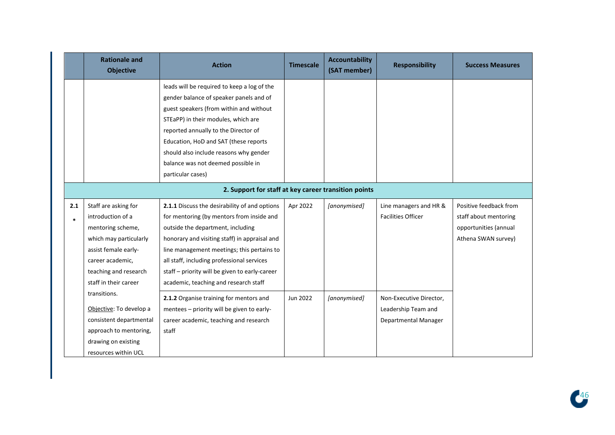|        | <b>Rationale and</b><br><b>Objective</b> | <b>Action</b>                                        | <b>Timescale</b> | <b>Accountability</b><br>(SAT member) | <b>Responsibility</b>     | <b>Success Measures</b> |
|--------|------------------------------------------|------------------------------------------------------|------------------|---------------------------------------|---------------------------|-------------------------|
|        |                                          | leads will be required to keep a log of the          |                  |                                       |                           |                         |
|        |                                          | gender balance of speaker panels and of              |                  |                                       |                           |                         |
|        |                                          | guest speakers (from within and without              |                  |                                       |                           |                         |
|        |                                          | STEaPP) in their modules, which are                  |                  |                                       |                           |                         |
|        |                                          | reported annually to the Director of                 |                  |                                       |                           |                         |
|        |                                          | Education, HoD and SAT (these reports                |                  |                                       |                           |                         |
|        |                                          | should also include reasons why gender               |                  |                                       |                           |                         |
|        |                                          | balance was not deemed possible in                   |                  |                                       |                           |                         |
|        |                                          | particular cases)                                    |                  |                                       |                           |                         |
|        |                                          | 2. Support for staff at key career transition points |                  |                                       |                           |                         |
| 2.1    | Staff are asking for                     | 2.1.1 Discuss the desirability of and options        | Apr 2022         | [anonymised]                          | Line managers and HR &    | Positive feedback from  |
| $\ast$ | introduction of a                        | for mentoring (by mentors from inside and            |                  |                                       | <b>Facilities Officer</b> | staff about mentoring   |
|        | mentoring scheme,                        | outside the department, including                    |                  |                                       |                           | opportunities (annual   |
|        | which may particularly                   | honorary and visiting staff) in appraisal and        |                  |                                       |                           | Athena SWAN survey)     |
|        | assist female early-                     | line management meetings; this pertains to           |                  |                                       |                           |                         |
|        | career academic,                         | all staff, including professional services           |                  |                                       |                           |                         |
|        | teaching and research                    | staff - priority will be given to early-career       |                  |                                       |                           |                         |
|        | staff in their career                    | academic, teaching and research staff                |                  |                                       |                           |                         |
|        | transitions.                             | 2.1.2 Organise training for mentors and              | Jun 2022         | [anonymised]                          | Non-Executive Director,   |                         |
|        | Objective: To develop a                  | mentees - priority will be given to early-           |                  |                                       | Leadership Team and       |                         |
|        | consistent departmental                  | career academic, teaching and research               |                  |                                       | Departmental Manager      |                         |
|        | approach to mentoring,                   | staff                                                |                  |                                       |                           |                         |
|        | drawing on existing                      |                                                      |                  |                                       |                           |                         |
|        | resources within UCL                     |                                                      |                  |                                       |                           |                         |

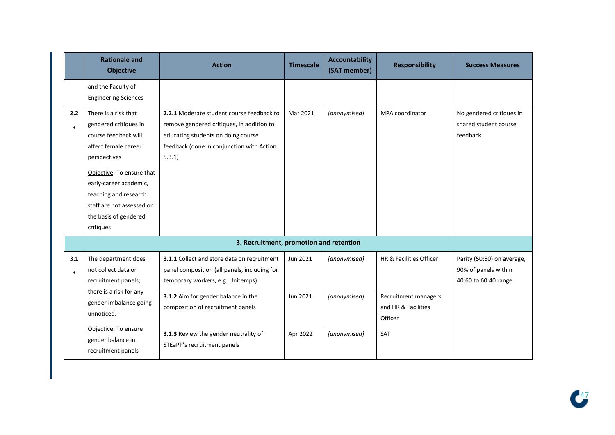|               | <b>Rationale and</b><br><b>Objective</b>                                                                                                                                                                                                                         | <b>Action</b>                                                                                                                                                                      | <b>Timescale</b>     | <b>Accountability</b><br>(SAT member) | <b>Responsibility</b>                           | <b>Success Measures</b>                                                    |
|---------------|------------------------------------------------------------------------------------------------------------------------------------------------------------------------------------------------------------------------------------------------------------------|------------------------------------------------------------------------------------------------------------------------------------------------------------------------------------|----------------------|---------------------------------------|-------------------------------------------------|----------------------------------------------------------------------------|
|               | and the Faculty of<br><b>Engineering Sciences</b>                                                                                                                                                                                                                |                                                                                                                                                                                    |                      |                                       |                                                 |                                                                            |
| 2.2<br>$\ast$ | There is a risk that<br>gendered critiques in<br>course feedback will<br>affect female career<br>perspectives<br>Objective: To ensure that<br>early-career academic,<br>teaching and research<br>staff are not assessed on<br>the basis of gendered<br>critiques | 2.2.1 Moderate student course feedback to<br>remove gendered critiques, in addition to<br>educating students on doing course<br>feedback (done in conjunction with Action<br>5.3.1 | Mar 2021             | [anonymised]                          | MPA coordinator                                 | No gendered critiques in<br>shared student course<br>feedback              |
|               |                                                                                                                                                                                                                                                                  | 3. Recruitment, promotion and retention                                                                                                                                            |                      |                                       |                                                 |                                                                            |
| 3.1<br>$\ast$ | The department does<br>not collect data on<br>recruitment panels;<br>there is a risk for any                                                                                                                                                                     | 3.1.1 Collect and store data on recruitment<br>panel composition (all panels, including for<br>temporary workers, e.g. Unitemps)<br>3.1.2 Aim for gender balance in the            | Jun 2021<br>Jun 2021 | [anonymised]<br>[anonymised]          | HR & Facilities Officer<br>Recruitment managers | Parity (50:50) on average,<br>90% of panels within<br>40:60 to 60:40 range |
|               | gender imbalance going<br>unnoticed.<br>Objective: To ensure<br>gender balance in                                                                                                                                                                                | composition of recruitment panels<br>3.1.3 Review the gender neutrality of                                                                                                         | Apr 2022             | [anonymised]                          | and HR & Facilities<br>Officer<br>SAT           |                                                                            |
|               | recruitment panels                                                                                                                                                                                                                                               | STEaPP's recruitment panels                                                                                                                                                        |                      |                                       |                                                 |                                                                            |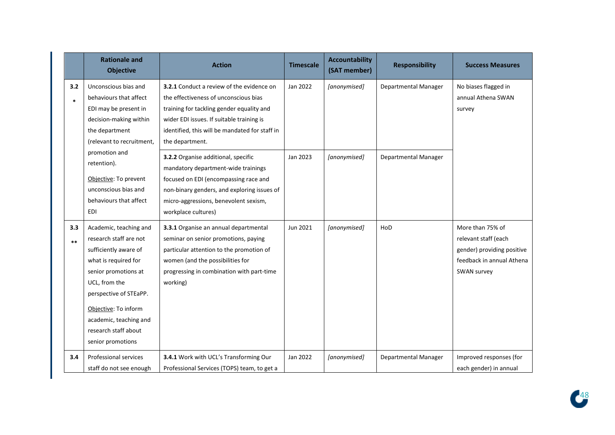|               | <b>Rationale and</b><br><b>Objective</b>                                                                                                                                                                                                                            | <b>Action</b>                                                                                                                                                                                                                                     | <b>Timescale</b> | <b>Accountability</b><br>(SAT member) | <b>Responsibility</b> | <b>Success Measures</b>                                                                                            |
|---------------|---------------------------------------------------------------------------------------------------------------------------------------------------------------------------------------------------------------------------------------------------------------------|---------------------------------------------------------------------------------------------------------------------------------------------------------------------------------------------------------------------------------------------------|------------------|---------------------------------------|-----------------------|--------------------------------------------------------------------------------------------------------------------|
| 3.2<br>$\ast$ | Unconscious bias and<br>behaviours that affect<br>EDI may be present in<br>decision-making within<br>the department<br>(relevant to recruitment,                                                                                                                    | 3.2.1 Conduct a review of the evidence on<br>the effectiveness of unconscious bias<br>training for tackling gender equality and<br>wider EDI issues. If suitable training is<br>identified, this will be mandated for staff in<br>the department. | Jan 2022         | [anonymised]                          | Departmental Manager  | No biases flagged in<br>annual Athena SWAN<br>survey                                                               |
|               | promotion and<br>retention).<br>Objective: To prevent<br>unconscious bias and<br>behaviours that affect<br><b>EDI</b>                                                                                                                                               | 3.2.2 Organise additional, specific<br>mandatory department-wide trainings<br>focused on EDI (encompassing race and<br>non-binary genders, and exploring issues of<br>micro-aggressions, benevolent sexism,<br>workplace cultures)                | Jan 2023         | [anonymised]                          | Departmental Manager  |                                                                                                                    |
| 3.3<br>$***$  | Academic, teaching and<br>research staff are not<br>sufficiently aware of<br>what is required for<br>senior promotions at<br>UCL, from the<br>perspective of STEaPP.<br>Objective: To inform<br>academic, teaching and<br>research staff about<br>senior promotions | 3.3.1 Organise an annual departmental<br>seminar on senior promotions, paying<br>particular attention to the promotion of<br>women (and the possibilities for<br>progressing in combination with part-time<br>working)                            | Jun 2021         | [anonymised]                          | HoD                   | More than 75% of<br>relevant staff (each<br>gender) providing positive<br>feedback in annual Athena<br>SWAN survey |
| 3.4           | <b>Professional services</b><br>staff do not see enough                                                                                                                                                                                                             | 3.4.1 Work with UCL's Transforming Our<br>Professional Services (TOPS) team, to get a                                                                                                                                                             | Jan 2022         | [anonymised]                          | Departmental Manager  | Improved responses (for<br>each gender) in annual                                                                  |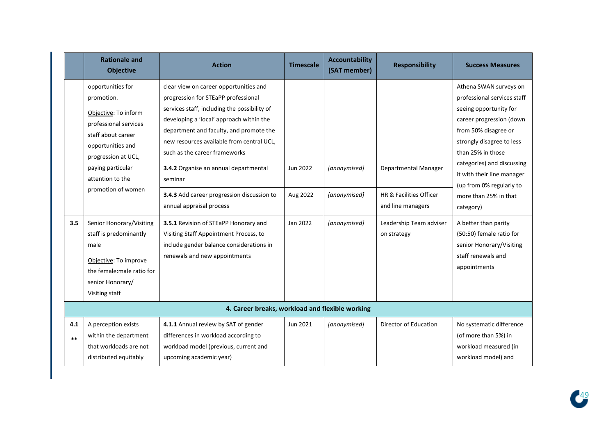|              | <b>Rationale and</b><br><b>Objective</b>                                                                                                                                                                          | <b>Action</b>                                                                                                                                                                                                                                                                                                                                                                                                                    | <b>Timescale</b>     | <b>Accountability</b><br>(SAT member) | <b>Responsibility</b>                                                | <b>Success Measures</b>                                                                                                                                                                                                                                                                                             |
|--------------|-------------------------------------------------------------------------------------------------------------------------------------------------------------------------------------------------------------------|----------------------------------------------------------------------------------------------------------------------------------------------------------------------------------------------------------------------------------------------------------------------------------------------------------------------------------------------------------------------------------------------------------------------------------|----------------------|---------------------------------------|----------------------------------------------------------------------|---------------------------------------------------------------------------------------------------------------------------------------------------------------------------------------------------------------------------------------------------------------------------------------------------------------------|
|              | opportunities for<br>promotion.<br>Objective: To inform<br>professional services<br>staff about career<br>opportunities and<br>progression at UCL,<br>paying particular<br>attention to the<br>promotion of women | clear view on career opportunities and<br>progression for STEaPP professional<br>services staff, including the possibility of<br>developing a 'local' approach within the<br>department and faculty, and promote the<br>new resources available from central UCL,<br>such as the career frameworks<br>3.4.2 Organise an annual departmental<br>seminar<br>3.4.3 Add career progression discussion to<br>annual appraisal process | Jun 2022<br>Aug 2022 | [anonymised]<br>[anonymised]          | Departmental Manager<br>HR & Facilities Officer<br>and line managers | Athena SWAN surveys on<br>professional services staff<br>seeing opportunity for<br>career progression (down<br>from 50% disagree or<br>strongly disagree to less<br>than 25% in those<br>categories) and discussing<br>it with their line manager<br>(up from 0% regularly to<br>more than 25% in that<br>category) |
| 3.5          | Senior Honorary/Visiting<br>staff is predominantly<br>male<br>Objective: To improve<br>the female: male ratio for<br>senior Honorary/<br>Visiting staff                                                           | 3.5.1 Revision of STEaPP Honorary and<br>Visiting Staff Appointment Process, to<br>include gender balance considerations in<br>renewals and new appointments                                                                                                                                                                                                                                                                     | Jan 2022             | [anonymised]                          | Leadership Team adviser<br>on strategy                               | A better than parity<br>(50:50) female ratio for<br>senior Honorary/Visiting<br>staff renewals and<br>appointments                                                                                                                                                                                                  |
| 4.1<br>$***$ | A perception exists<br>within the department<br>that workloads are not<br>distributed equitably                                                                                                                   | 4. Career breaks, workload and flexible working<br>4.1.1 Annual review by SAT of gender<br>differences in workload according to<br>workload model (previous, current and<br>upcoming academic year)                                                                                                                                                                                                                              | Jun 2021             | [anonymised]                          | Director of Education                                                | No systematic difference<br>(of more than 5%) in<br>workload measured (in<br>workload model) and                                                                                                                                                                                                                    |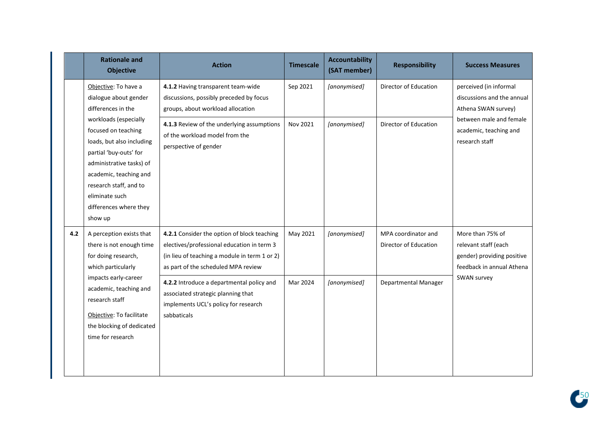|     | <b>Rationale and</b><br><b>Objective</b>                                                                                                                                                                          | <b>Action</b>                                                                                                                                                                     | <b>Timescale</b> | <b>Accountability</b><br>(SAT member) | <b>Responsibility</b>                        | <b>Success Measures</b>                                                                             |
|-----|-------------------------------------------------------------------------------------------------------------------------------------------------------------------------------------------------------------------|-----------------------------------------------------------------------------------------------------------------------------------------------------------------------------------|------------------|---------------------------------------|----------------------------------------------|-----------------------------------------------------------------------------------------------------|
|     | Objective: To have a<br>dialogue about gender<br>differences in the<br>workloads (especially                                                                                                                      | 4.1.2 Having transparent team-wide<br>discussions, possibly preceded by focus<br>groups, about workload allocation                                                                | Sep 2021         | [anonymised]                          | Director of Education                        | perceived (in informal<br>discussions and the annual<br>Athena SWAN survey)                         |
|     | focused on teaching<br>loads, but also including<br>partial 'buy-outs' for<br>administrative tasks) of<br>academic, teaching and<br>research staff, and to<br>eliminate such<br>differences where they<br>show up | 4.1.3 Review of the underlying assumptions<br>of the workload model from the<br>perspective of gender                                                                             | Nov 2021         | [anonymised]                          | Director of Education                        | between male and female<br>academic, teaching and<br>research staff                                 |
| 4.2 | A perception exists that<br>there is not enough time<br>for doing research,<br>which particularly                                                                                                                 | 4.2.1 Consider the option of block teaching<br>electives/professional education in term 3<br>(in lieu of teaching a module in term 1 or 2)<br>as part of the scheduled MPA review | May 2021         | [anonymised]                          | MPA coordinator and<br>Director of Education | More than 75% of<br>relevant staff (each<br>gender) providing positive<br>feedback in annual Athena |
|     | impacts early-career<br>academic, teaching and<br>research staff<br>Objective: To facilitate<br>the blocking of dedicated<br>time for research                                                                    | 4.2.2 Introduce a departmental policy and<br>associated strategic planning that<br>implements UCL's policy for research<br>sabbaticals                                            | Mar 2024         | [anonymised]                          | Departmental Manager                         | SWAN survey                                                                                         |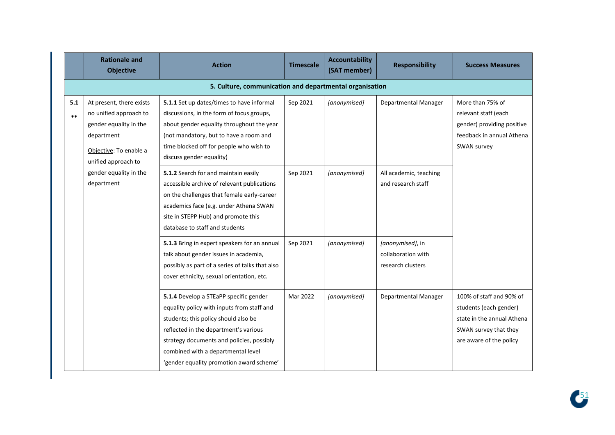|              | <b>Rationale and</b><br><b>Objective</b>                                                                                                    | <b>Action</b>                                                                                                                                                                                                                                                                                        | <b>Timescale</b> | <b>Accountability</b><br>(SAT member) | <b>Responsibility</b>                                       | <b>Success Measures</b>                                                                                                              |  |  |
|--------------|---------------------------------------------------------------------------------------------------------------------------------------------|------------------------------------------------------------------------------------------------------------------------------------------------------------------------------------------------------------------------------------------------------------------------------------------------------|------------------|---------------------------------------|-------------------------------------------------------------|--------------------------------------------------------------------------------------------------------------------------------------|--|--|
|              | 5. Culture, communication and departmental organisation                                                                                     |                                                                                                                                                                                                                                                                                                      |                  |                                       |                                                             |                                                                                                                                      |  |  |
| 5.1<br>$***$ | At present, there exists<br>no unified approach to<br>gender equality in the<br>department<br>Objective: To enable a<br>unified approach to | 5.1.1 Set up dates/times to have informal<br>discussions, in the form of focus groups,<br>about gender equality throughout the year<br>(not mandatory, but to have a room and<br>time blocked off for people who wish to<br>discuss gender equality)                                                 | Sep 2021         | [anonymised]                          | Departmental Manager                                        | More than 75% of<br>relevant staff (each<br>gender) providing positive<br>feedback in annual Athena<br>SWAN survey                   |  |  |
|              | gender equality in the<br>department                                                                                                        | 5.1.2 Search for and maintain easily<br>accessible archive of relevant publications<br>on the challenges that female early-career<br>academics face (e.g. under Athena SWAN<br>site in STEPP Hub) and promote this<br>database to staff and students                                                 | Sep 2021         | [anonymised]                          | All academic, teaching<br>and research staff                |                                                                                                                                      |  |  |
|              |                                                                                                                                             | 5.1.3 Bring in expert speakers for an annual<br>talk about gender issues in academia,<br>possibly as part of a series of talks that also<br>cover ethnicity, sexual orientation, etc.                                                                                                                | Sep 2021         | [anonymised]                          | [anonymised], in<br>collaboration with<br>research clusters |                                                                                                                                      |  |  |
|              |                                                                                                                                             | 5.1.4 Develop a STEaPP specific gender<br>equality policy with inputs from staff and<br>students; this policy should also be<br>reflected in the department's various<br>strategy documents and policies, possibly<br>combined with a departmental level<br>'gender equality promotion award scheme' | Mar 2022         | [anonymised]                          | Departmental Manager                                        | 100% of staff and 90% of<br>students (each gender)<br>state in the annual Athena<br>SWAN survey that they<br>are aware of the policy |  |  |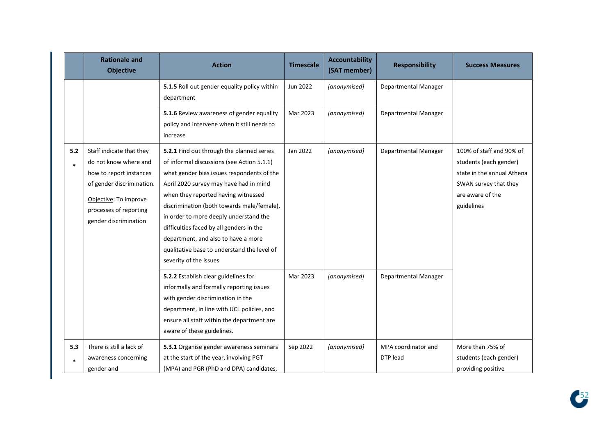|               | <b>Rationale and</b><br><b>Objective</b>                                                                                                                                              | <b>Action</b>                                                                                                                                                                                                                                                                                                                                                                                                                                                              | <b>Timescale</b> | <b>Accountability</b><br>(SAT member) | <b>Responsibility</b>           | <b>Success Measures</b>                                                                                                                     |
|---------------|---------------------------------------------------------------------------------------------------------------------------------------------------------------------------------------|----------------------------------------------------------------------------------------------------------------------------------------------------------------------------------------------------------------------------------------------------------------------------------------------------------------------------------------------------------------------------------------------------------------------------------------------------------------------------|------------------|---------------------------------------|---------------------------------|---------------------------------------------------------------------------------------------------------------------------------------------|
|               |                                                                                                                                                                                       | 5.1.5 Roll out gender equality policy within<br>department                                                                                                                                                                                                                                                                                                                                                                                                                 | Jun 2022         | [anonymised]                          | Departmental Manager            |                                                                                                                                             |
|               |                                                                                                                                                                                       | 5.1.6 Review awareness of gender equality<br>policy and intervene when it still needs to<br>increase                                                                                                                                                                                                                                                                                                                                                                       | Mar 2023         | [anonymised]                          | Departmental Manager            |                                                                                                                                             |
| 5.2<br>$\ast$ | Staff indicate that they<br>do not know where and<br>how to report instances<br>of gender discrimination.<br>Objective: To improve<br>processes of reporting<br>gender discrimination | 5.2.1 Find out through the planned series<br>of informal discussions (see Action 5.1.1)<br>what gender bias issues respondents of the<br>April 2020 survey may have had in mind<br>when they reported having witnessed<br>discrimination (both towards male/female),<br>in order to more deeply understand the<br>difficulties faced by all genders in the<br>department, and also to have a more<br>qualitative base to understand the level of<br>severity of the issues | Jan 2022         | [anonymised]                          | Departmental Manager            | 100% of staff and 90% of<br>students (each gender)<br>state in the annual Athena<br>SWAN survey that they<br>are aware of the<br>guidelines |
|               |                                                                                                                                                                                       | 5.2.2 Establish clear guidelines for<br>informally and formally reporting issues<br>with gender discrimination in the<br>department, in line with UCL policies, and<br>ensure all staff within the department are<br>aware of these guidelines.                                                                                                                                                                                                                            | Mar 2023         | [anonymised]                          | Departmental Manager            |                                                                                                                                             |
| 5.3<br>$\ast$ | There is still a lack of<br>awareness concerning<br>gender and                                                                                                                        | 5.3.1 Organise gender awareness seminars<br>at the start of the year, involving PGT<br>(MPA) and PGR (PhD and DPA) candidates,                                                                                                                                                                                                                                                                                                                                             | Sep 2022         | [anonymised]                          | MPA coordinator and<br>DTP lead | More than 75% of<br>students (each gender)<br>providing positive                                                                            |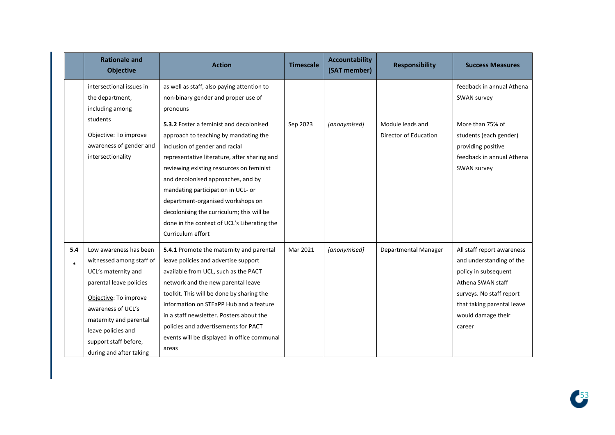|     | <b>Rationale and</b><br><b>Objective</b>                                                                                                                                                                                                                | <b>Action</b>                                                                                                                                                                                                                                                                                                                                                                                                                                    | <b>Timescale</b> | <b>Accountability</b><br>(SAT member) | <b>Responsibility</b>                     | <b>Success Measures</b>                                                                                                                                                                       |
|-----|---------------------------------------------------------------------------------------------------------------------------------------------------------------------------------------------------------------------------------------------------------|--------------------------------------------------------------------------------------------------------------------------------------------------------------------------------------------------------------------------------------------------------------------------------------------------------------------------------------------------------------------------------------------------------------------------------------------------|------------------|---------------------------------------|-------------------------------------------|-----------------------------------------------------------------------------------------------------------------------------------------------------------------------------------------------|
|     | intersectional issues in<br>the department,<br>including among<br>pronouns                                                                                                                                                                              | as well as staff, also paying attention to<br>non-binary gender and proper use of                                                                                                                                                                                                                                                                                                                                                                |                  |                                       |                                           | feedback in annual Athena<br>SWAN survey                                                                                                                                                      |
|     | students<br>Objective: To improve<br>awareness of gender and<br>intersectionality                                                                                                                                                                       | 5.3.2 Foster a feminist and decolonised<br>approach to teaching by mandating the<br>inclusion of gender and racial<br>representative literature, after sharing and<br>reviewing existing resources on feminist<br>and decolonised approaches, and by<br>mandating participation in UCL- or<br>department-organised workshops on<br>decolonising the curriculum; this will be<br>done in the context of UCL's Liberating the<br>Curriculum effort | Sep 2023         | [anonymised]                          | Module leads and<br>Director of Education | More than 75% of<br>students (each gender)<br>providing positive<br>feedback in annual Athena<br>SWAN survey                                                                                  |
| 5.4 | Low awareness has been<br>witnessed among staff of<br>UCL's maternity and<br>parental leave policies<br>Objective: To improve<br>awareness of UCL's<br>maternity and parental<br>leave policies and<br>support staff before,<br>during and after taking | 5.4.1 Promote the maternity and parental<br>leave policies and advertise support<br>available from UCL, such as the PACT<br>network and the new parental leave<br>toolkit. This will be done by sharing the<br>information on STEaPP Hub and a feature<br>in a staff newsletter. Posters about the<br>policies and advertisements for PACT<br>events will be displayed in office communal<br>areas                                               | Mar 2021         | [anonymised]                          | Departmental Manager                      | All staff report awareness<br>and understanding of the<br>policy in subsequent<br>Athena SWAN staff<br>surveys. No staff report<br>that taking parental leave<br>would damage their<br>career |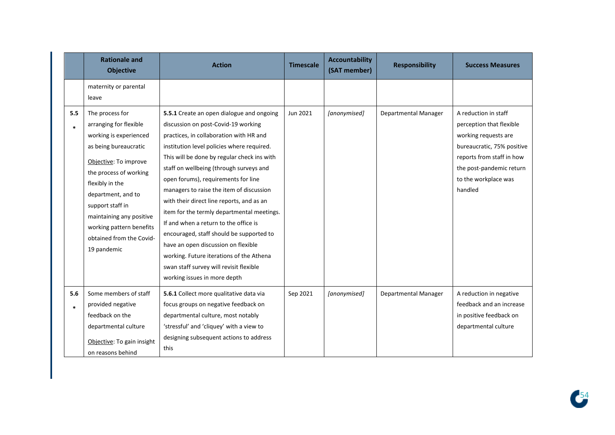|               | <b>Rationale and</b><br><b>Objective</b>                                                                                                                                                                                                                                                                        | <b>Action</b>                                                                                                                                                                                                                                                                                                                                                                                                                                                                                                                                                                                                                                                                                        | <b>Timescale</b> | <b>Accountability</b><br>(SAT member) | <b>Responsibility</b> | <b>Success Measures</b>                                                                                                                                                                            |
|---------------|-----------------------------------------------------------------------------------------------------------------------------------------------------------------------------------------------------------------------------------------------------------------------------------------------------------------|------------------------------------------------------------------------------------------------------------------------------------------------------------------------------------------------------------------------------------------------------------------------------------------------------------------------------------------------------------------------------------------------------------------------------------------------------------------------------------------------------------------------------------------------------------------------------------------------------------------------------------------------------------------------------------------------------|------------------|---------------------------------------|-----------------------|----------------------------------------------------------------------------------------------------------------------------------------------------------------------------------------------------|
|               | maternity or parental<br>leave                                                                                                                                                                                                                                                                                  |                                                                                                                                                                                                                                                                                                                                                                                                                                                                                                                                                                                                                                                                                                      |                  |                                       |                       |                                                                                                                                                                                                    |
| 5.5<br>×.     | The process for<br>arranging for flexible<br>working is experienced<br>as being bureaucratic<br>Objective: To improve<br>the process of working<br>flexibly in the<br>department, and to<br>support staff in<br>maintaining any positive<br>working pattern benefits<br>obtained from the Covid-<br>19 pandemic | 5.5.1 Create an open dialogue and ongoing<br>discussion on post-Covid-19 working<br>practices, in collaboration with HR and<br>institution level policies where required.<br>This will be done by regular check ins with<br>staff on wellbeing (through surveys and<br>open forums), requirements for line<br>managers to raise the item of discussion<br>with their direct line reports, and as an<br>item for the termly departmental meetings.<br>If and when a return to the office is<br>encouraged, staff should be supported to<br>have an open discussion on flexible<br>working. Future iterations of the Athena<br>swan staff survey will revisit flexible<br>working issues in more depth | Jun 2021         | [anonymised]                          | Departmental Manager  | A reduction in staff<br>perception that flexible<br>working requests are<br>bureaucratic, 75% positive<br>reports from staff in how<br>the post-pandemic return<br>to the workplace was<br>handled |
| 5.6<br>$\ast$ | Some members of staff<br>provided negative<br>feedback on the<br>departmental culture<br>Objective: To gain insight<br>on reasons behind                                                                                                                                                                        | 5.6.1 Collect more qualitative data via<br>focus groups on negative feedback on<br>departmental culture, most notably<br>'stressful' and 'cliquey' with a view to<br>designing subsequent actions to address<br>this                                                                                                                                                                                                                                                                                                                                                                                                                                                                                 | Sep 2021         | [anonymised]                          | Departmental Manager  | A reduction in negative<br>feedback and an increase<br>in positive feedback on<br>departmental culture                                                                                             |